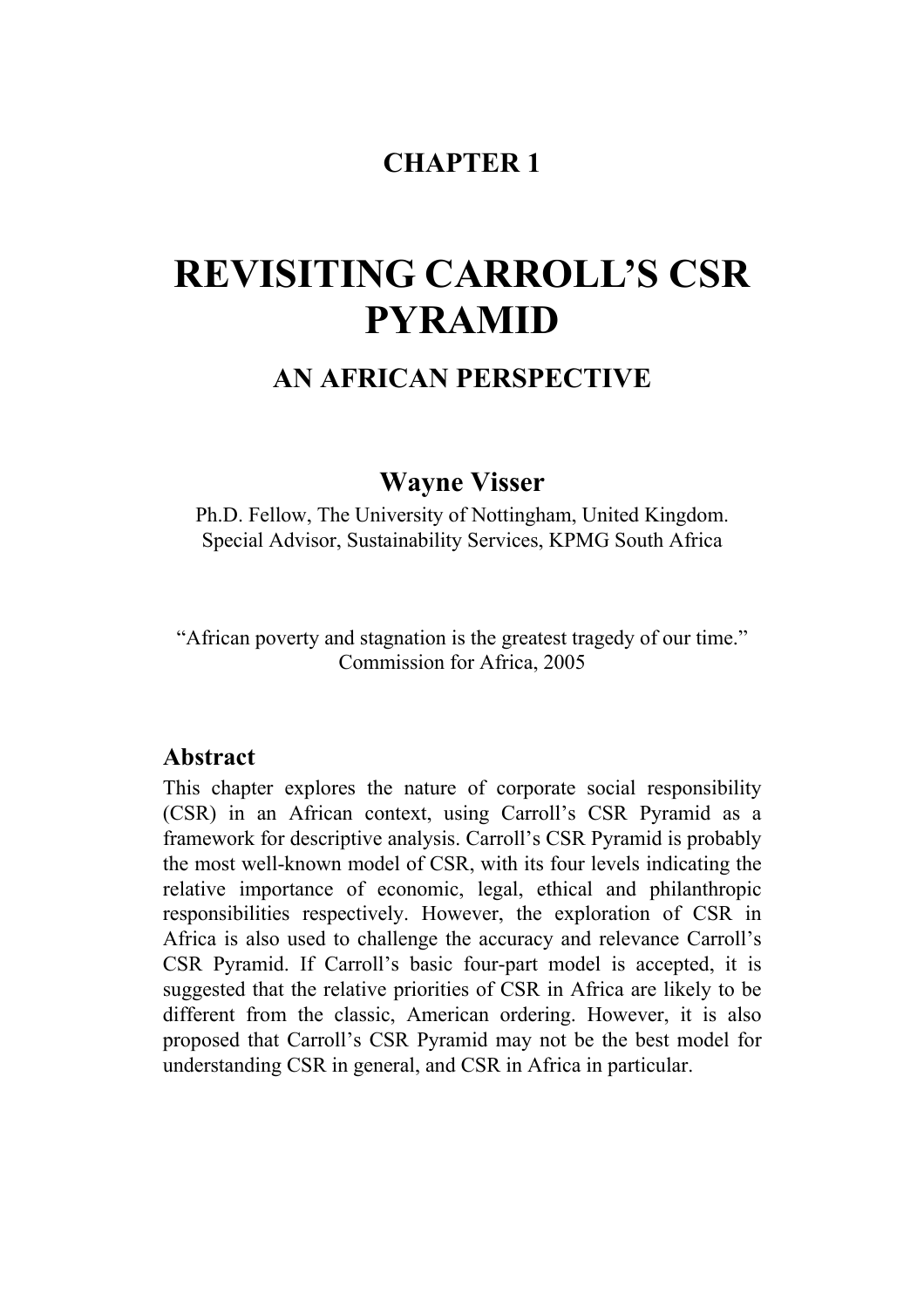# **CHAPTER 1**

# **REVISITING CARROLL'S CSR PYRAMID**

## **AN AFRICAN PERSPECTIVE**

## **Wayne Visser**

Ph.D. Fellow, The University of Nottingham, United Kingdom. Special Advisor, Sustainability Services, KPMG South Africa

"African poverty and stagnation is the greatest tragedy of our time." Commission for Africa, 2005

### **Abstract**

This chapter explores the nature of corporate social responsibility (CSR) in an African context, using Carroll's CSR Pyramid as a framework for descriptive analysis. Carroll's CSR Pyramid is probably the most well-known model of CSR, with its four levels indicating the relative importance of economic, legal, ethical and philanthropic responsibilities respectively. However, the exploration of CSR in Africa is also used to challenge the accuracy and relevance Carroll's CSR Pyramid. If Carroll's basic four-part model is accepted, it is suggested that the relative priorities of CSR in Africa are likely to be different from the classic, American ordering. However, it is also proposed that Carroll's CSR Pyramid may not be the best model for understanding CSR in general, and CSR in Africa in particular.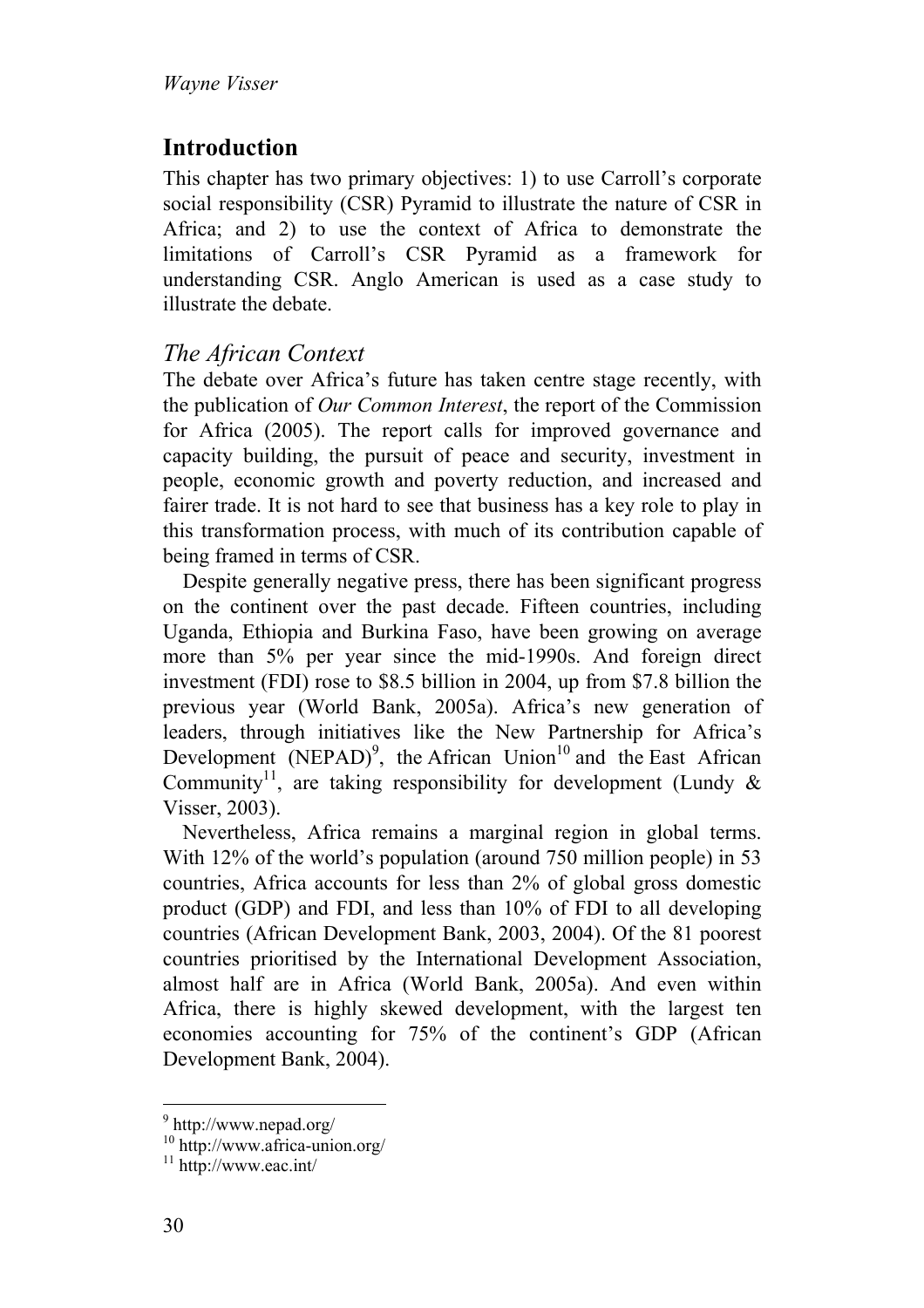# **Introduction**

This chapter has two primary objectives: 1) to use Carroll's corporate social responsibility (CSR) Pyramid to illustrate the nature of CSR in Africa; and 2) to use the context of Africa to demonstrate the limitations of Carroll's CSR Pyramid as a framework for understanding CSR. Anglo American is used as a case study to illustrate the debate.

## *The African Context*

The debate over Africa's future has taken centre stage recently, with the publication of *Our Common Interest*, the report of the Commission for Africa (2005). The report calls for improved governance and capacity building, the pursuit of peace and security, investment in people, economic growth and poverty reduction, and increased and fairer trade. It is not hard to see that business has a key role to play in this transformation process, with much of its contribution capable of being framed in terms of CSR.

Despite generally negative press, there has been significant progress on the continent over the past decade. Fifteen countries, including Uganda, Ethiopia and Burkina Faso, have been growing on average more than 5% per year since the mid-1990s. And foreign direct investment (FDI) rose to \$8.5 billion in 2004, up from \$7.8 billion the previous year (World Bank, 2005a). Africa's new generation of leaders, through initiatives like the New Partnership for Africa's Development  $(NEPAD)^9$ , the African Union<sup>10</sup> and the East African Community<sup>11</sup>, are taking responsibility for development (Lundy  $\&$ Visser, 2003).

Nevertheless, Africa remains a marginal region in global terms. With 12% of the world's population (around 750 million people) in 53 countries, Africa accounts for less than 2% of global gross domestic product (GDP) and FDI, and less than 10% of FDI to all developing countries (African Development Bank, 2003, 2004). Of the 81 poorest countries prioritised by the International Development Association, almost half are in Africa (World Bank, 2005a). And even within Africa, there is highly skewed development, with the largest ten economies accounting for 75% of the continent's GDP (African Development Bank, 2004).

 9 http://www.nepad.org/

<sup>10</sup> http://www.africa-union.org/

 $11$  http://www.eac.int/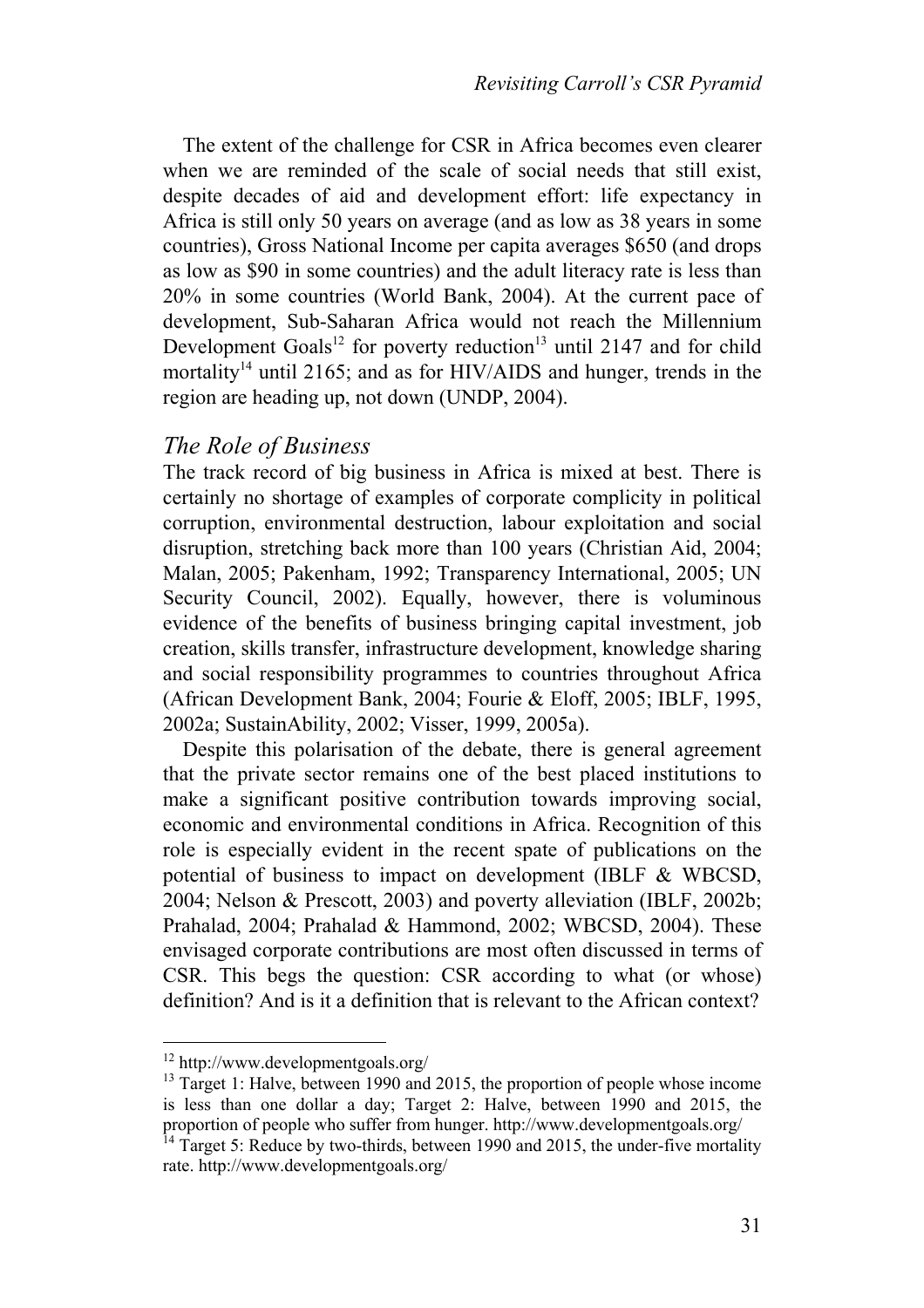The extent of the challenge for CSR in Africa becomes even clearer when we are reminded of the scale of social needs that still exist, despite decades of aid and development effort: life expectancy in Africa is still only 50 years on average (and as low as 38 years in some countries), Gross National Income per capita averages \$650 (and drops as low as \$90 in some countries) and the adult literacy rate is less than 20% in some countries (World Bank, 2004). At the current pace of development, Sub-Saharan Africa would not reach the Millennium Development Goals<sup>12</sup> for poverty reduction<sup>13</sup> until 2147 and for child mortality<sup>14</sup> until 2165; and as for HIV/AIDS and hunger, trends in the region are heading up, not down (UNDP, 2004).

#### *The Role of Business*

The track record of big business in Africa is mixed at best. There is certainly no shortage of examples of corporate complicity in political corruption, environmental destruction, labour exploitation and social disruption, stretching back more than 100 years (Christian Aid, 2004; Malan, 2005; Pakenham, 1992; Transparency International, 2005; UN Security Council, 2002). Equally, however, there is voluminous evidence of the benefits of business bringing capital investment, job creation, skills transfer, infrastructure development, knowledge sharing and social responsibility programmes to countries throughout Africa (African Development Bank, 2004; Fourie & Eloff, 2005; IBLF, 1995, 2002a; SustainAbility, 2002; Visser, 1999, 2005a).

Despite this polarisation of the debate, there is general agreement that the private sector remains one of the best placed institutions to make a significant positive contribution towards improving social, economic and environmental conditions in Africa. Recognition of this role is especially evident in the recent spate of publications on the potential of business to impact on development (IBLF & WBCSD, 2004; Nelson & Prescott, 2003) and poverty alleviation (IBLF, 2002b; Prahalad, 2004; Prahalad & Hammond, 2002; WBCSD, 2004). These envisaged corporate contributions are most often discussed in terms of CSR. This begs the question: CSR according to what (or whose) definition? And is it a definition that is relevant to the African context?

 $\overline{a}$ 

<sup>12</sup> http://www.developmentgoals.org/

 $13$  Target 1: Halve, between 1990 and 2015, the proportion of people whose income is less than one dollar a day; Target 2: Halve, between 1990 and 2015, the proportion of people who suffer from hunger. http://www.developmentgoals.org/

 $^{14}$  Target 5: Reduce by two-thirds, between 1990 and 2015, the under-five mortality rate. http://www.developmentgoals.org/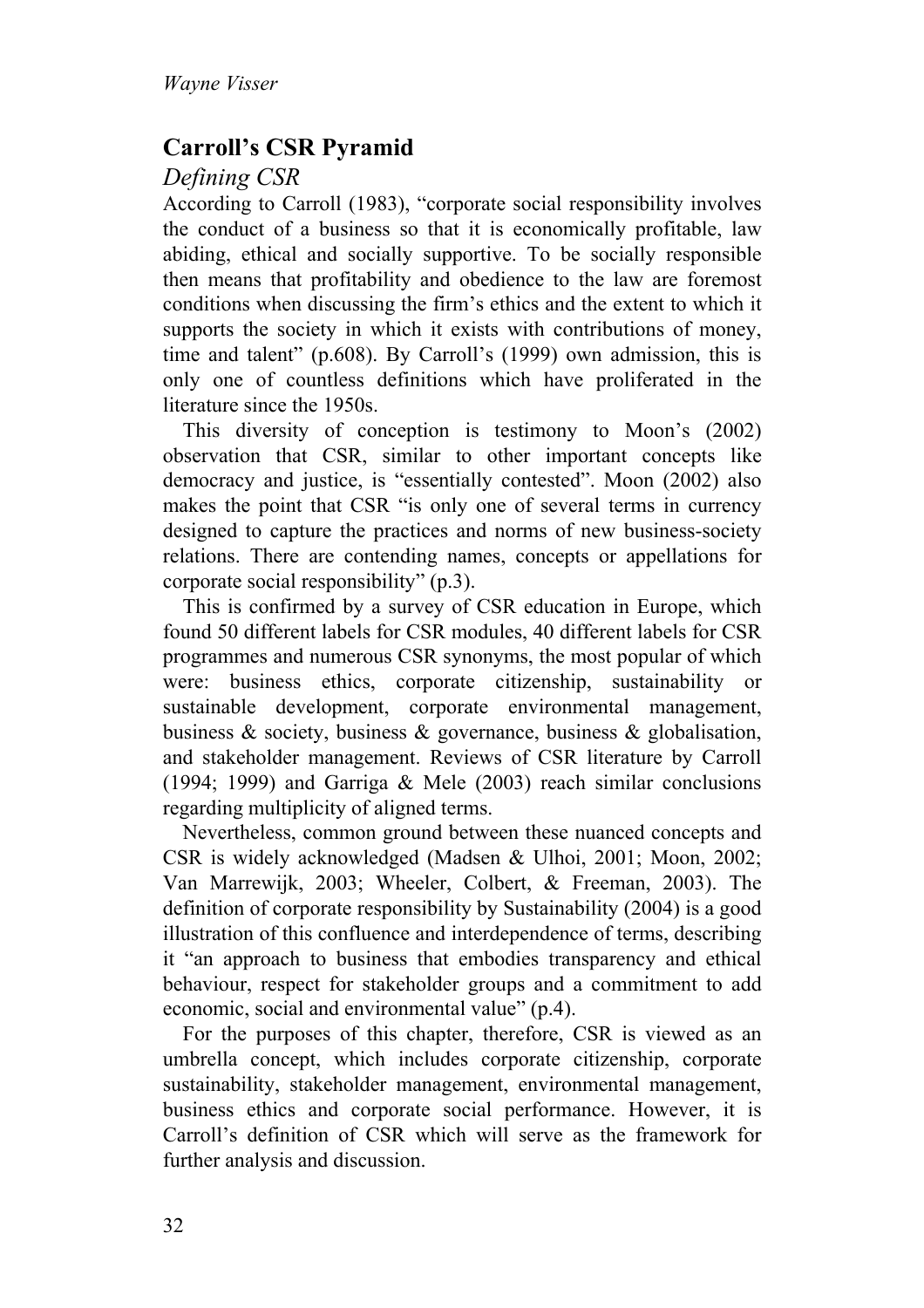# **Carroll's CSR Pyramid**

## *Defining CSR*

According to Carroll (1983), "corporate social responsibility involves the conduct of a business so that it is economically profitable, law abiding, ethical and socially supportive. To be socially responsible then means that profitability and obedience to the law are foremost conditions when discussing the firm's ethics and the extent to which it supports the society in which it exists with contributions of money, time and talent" (p.608). By Carroll's (1999) own admission, this is only one of countless definitions which have proliferated in the literature since the 1950s.

This diversity of conception is testimony to Moon's (2002) observation that CSR, similar to other important concepts like democracy and justice, is "essentially contested". Moon (2002) also makes the point that CSR "is only one of several terms in currency designed to capture the practices and norms of new business-society relations. There are contending names, concepts or appellations for corporate social responsibility" (p.3).

This is confirmed by a survey of CSR education in Europe, which found 50 different labels for CSR modules, 40 different labels for CSR programmes and numerous CSR synonyms, the most popular of which were: business ethics, corporate citizenship, sustainability or sustainable development, corporate environmental management, business & society, business & governance, business & globalisation, and stakeholder management. Reviews of CSR literature by Carroll (1994; 1999) and Garriga & Mele (2003) reach similar conclusions regarding multiplicity of aligned terms.

Nevertheless, common ground between these nuanced concepts and CSR is widely acknowledged (Madsen & Ulhoi, 2001; Moon, 2002; Van Marrewijk, 2003; Wheeler, Colbert, & Freeman, 2003). The definition of corporate responsibility by Sustainability (2004) is a good illustration of this confluence and interdependence of terms, describing it "an approach to business that embodies transparency and ethical behaviour, respect for stakeholder groups and a commitment to add economic, social and environmental value" (p.4).

For the purposes of this chapter, therefore, CSR is viewed as an umbrella concept, which includes corporate citizenship, corporate sustainability, stakeholder management, environmental management, business ethics and corporate social performance. However, it is Carroll's definition of CSR which will serve as the framework for further analysis and discussion.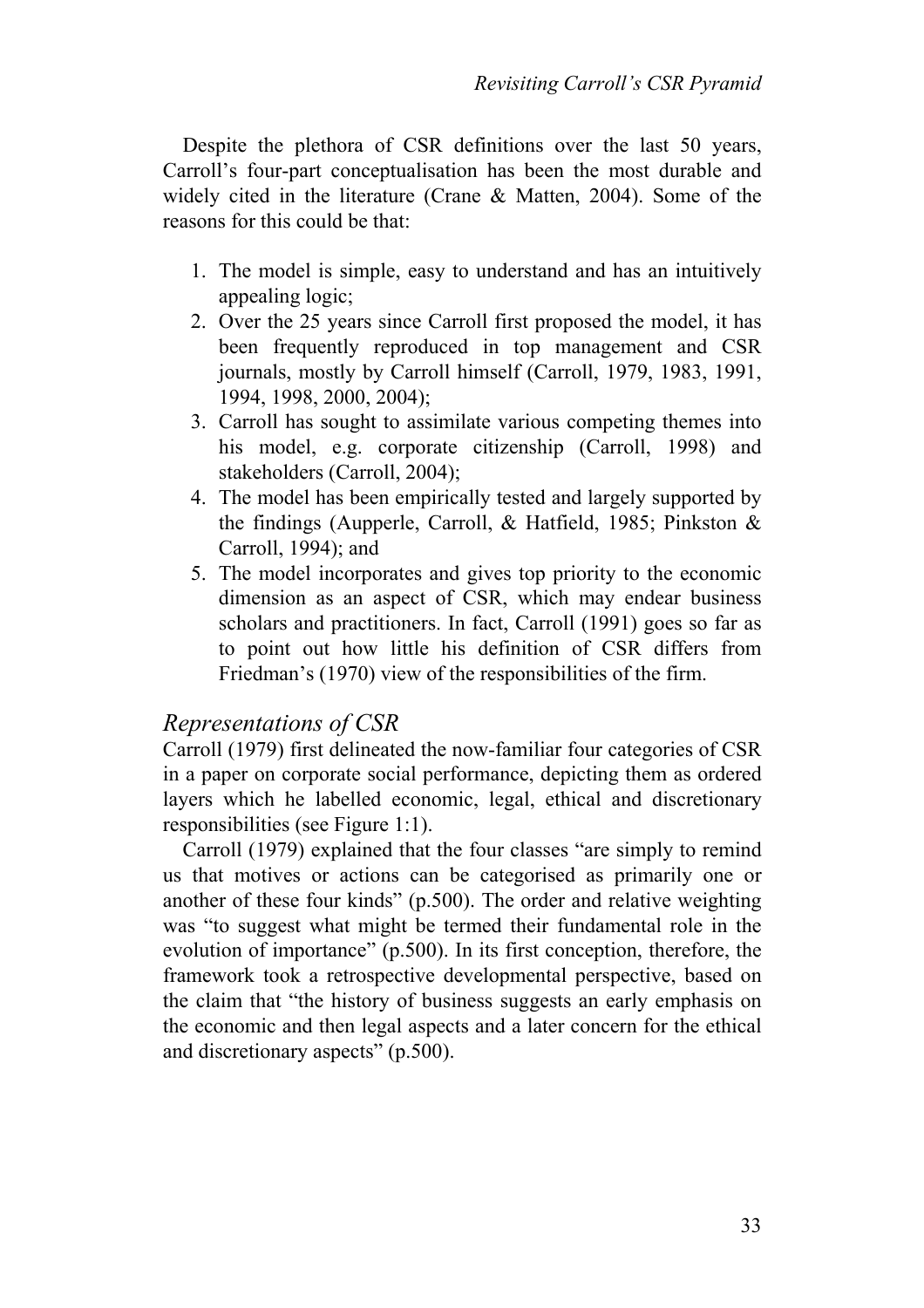Despite the plethora of CSR definitions over the last 50 years, Carroll's four-part conceptualisation has been the most durable and widely cited in the literature (Crane & Matten, 2004). Some of the reasons for this could be that:

- 1. The model is simple, easy to understand and has an intuitively appealing logic;
- 2. Over the 25 years since Carroll first proposed the model, it has been frequently reproduced in top management and CSR journals, mostly by Carroll himself (Carroll, 1979, 1983, 1991, 1994, 1998, 2000, 2004);
- 3. Carroll has sought to assimilate various competing themes into his model, e.g. corporate citizenship (Carroll, 1998) and stakeholders (Carroll, 2004);
- 4. The model has been empirically tested and largely supported by the findings (Aupperle, Carroll, & Hatfield, 1985; Pinkston & Carroll, 1994); and
- 5. The model incorporates and gives top priority to the economic dimension as an aspect of CSR, which may endear business scholars and practitioners. In fact, Carroll (1991) goes so far as to point out how little his definition of CSR differs from Friedman's (1970) view of the responsibilities of the firm.

#### *Representations of CSR*

Carroll (1979) first delineated the now-familiar four categories of CSR in a paper on corporate social performance, depicting them as ordered layers which he labelled economic, legal, ethical and discretionary responsibilities (see Figure 1:1).

Carroll (1979) explained that the four classes "are simply to remind us that motives or actions can be categorised as primarily one or another of these four kinds" (p.500). The order and relative weighting was "to suggest what might be termed their fundamental role in the evolution of importance" (p.500). In its first conception, therefore, the framework took a retrospective developmental perspective, based on the claim that "the history of business suggests an early emphasis on the economic and then legal aspects and a later concern for the ethical and discretionary aspects" (p.500).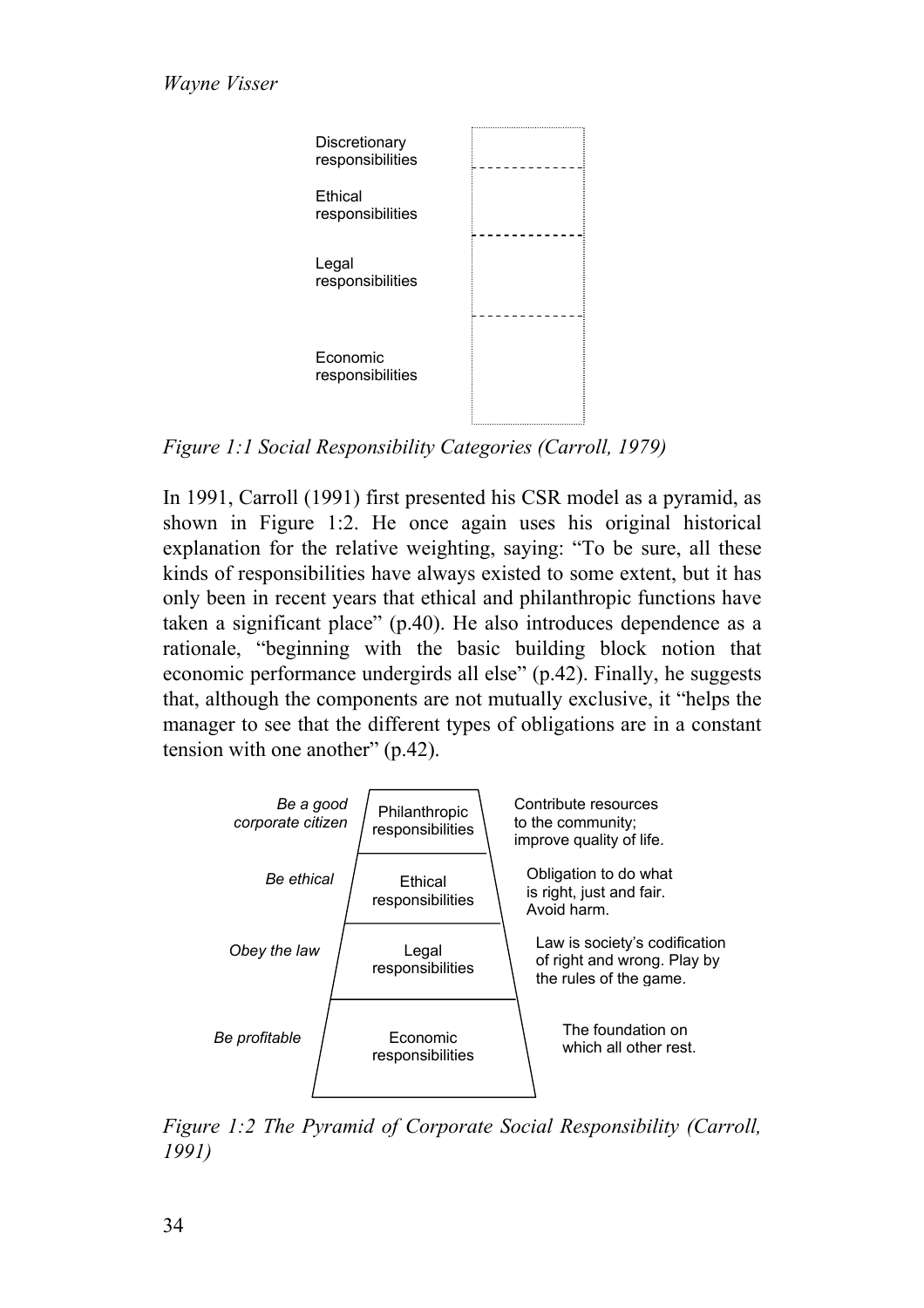

*Figure 1:1 Social Responsibility Categories (Carroll, 1979)*

In 1991, Carroll (1991) first presented his CSR model as a pyramid, as shown in Figure 1:2. He once again uses his original historical explanation for the relative weighting, saying: "To be sure, all these kinds of responsibilities have always existed to some extent, but it has only been in recent years that ethical and philanthropic functions have taken a significant place" (p.40). He also introduces dependence as a rationale, "beginning with the basic building block notion that economic performance undergirds all else" (p.42). Finally, he suggests that, although the components are not mutually exclusive, it "helps the manager to see that the different types of obligations are in a constant tension with one another" (p.42).



*Figure 1:2 The Pyramid of Corporate Social Responsibility (Carroll, 1991)*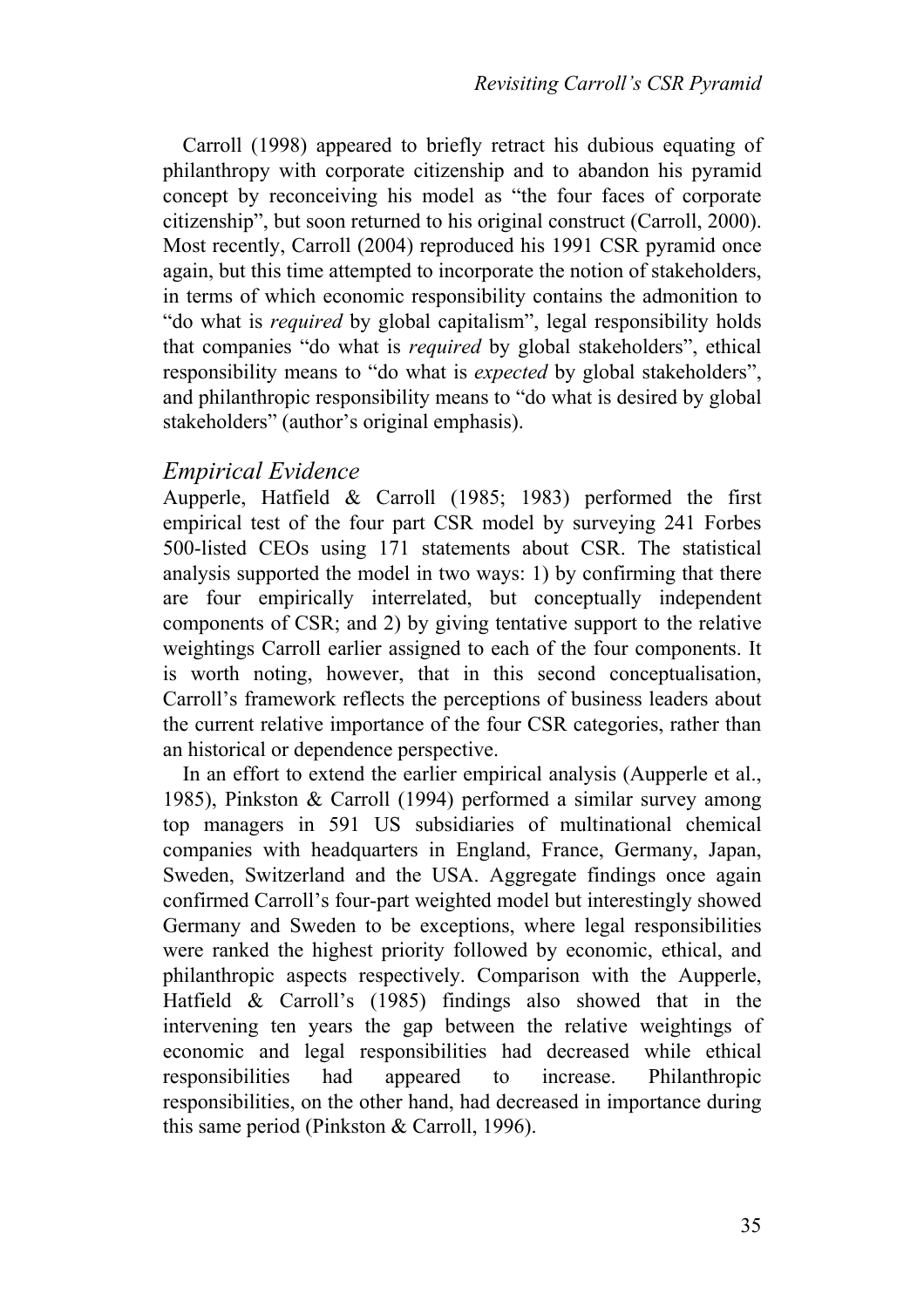Carroll (1998) appeared to briefly retract his dubious equating of philanthropy with corporate citizenship and to abandon his pyramid concept by reconceiving his model as "the four faces of corporate citizenship", but soon returned to his original construct (Carroll, 2000). Most recently, Carroll (2004) reproduced his 1991 CSR pyramid once again, but this time attempted to incorporate the notion of stakeholders, in terms of which economic responsibility contains the admonition to "do what is *required* by global capitalism", legal responsibility holds that companies "do what is *required* by global stakeholders", ethical responsibility means to "do what is *expected* by global stakeholders", and philanthropic responsibility means to "do what is desired by global stakeholders" (author's original emphasis).

#### *Empirical Evidence*

Aupperle, Hatfield & Carroll (1985; 1983) performed the first empirical test of the four part CSR model by surveying 241 Forbes 500-listed CEOs using 171 statements about CSR. The statistical analysis supported the model in two ways: 1) by confirming that there are four empirically interrelated, but conceptually independent components of CSR; and 2) by giving tentative support to the relative weightings Carroll earlier assigned to each of the four components. It is worth noting, however, that in this second conceptualisation, Carroll's framework reflects the perceptions of business leaders about the current relative importance of the four CSR categories, rather than an historical or dependence perspective.

In an effort to extend the earlier empirical analysis (Aupperle et al., 1985), Pinkston & Carroll (1994) performed a similar survey among top managers in 591 US subsidiaries of multinational chemical companies with headquarters in England, France, Germany, Japan, Sweden, Switzerland and the USA. Aggregate findings once again confirmed Carroll's four-part weighted model but interestingly showed Germany and Sweden to be exceptions, where legal responsibilities were ranked the highest priority followed by economic, ethical, and philanthropic aspects respectively. Comparison with the Aupperle, Hatfield & Carroll's (1985) findings also showed that in the intervening ten years the gap between the relative weightings of economic and legal responsibilities had decreased while ethical responsibilities had appeared to increase. Philanthropic responsibilities, on the other hand, had decreased in importance during this same period (Pinkston & Carroll, 1996).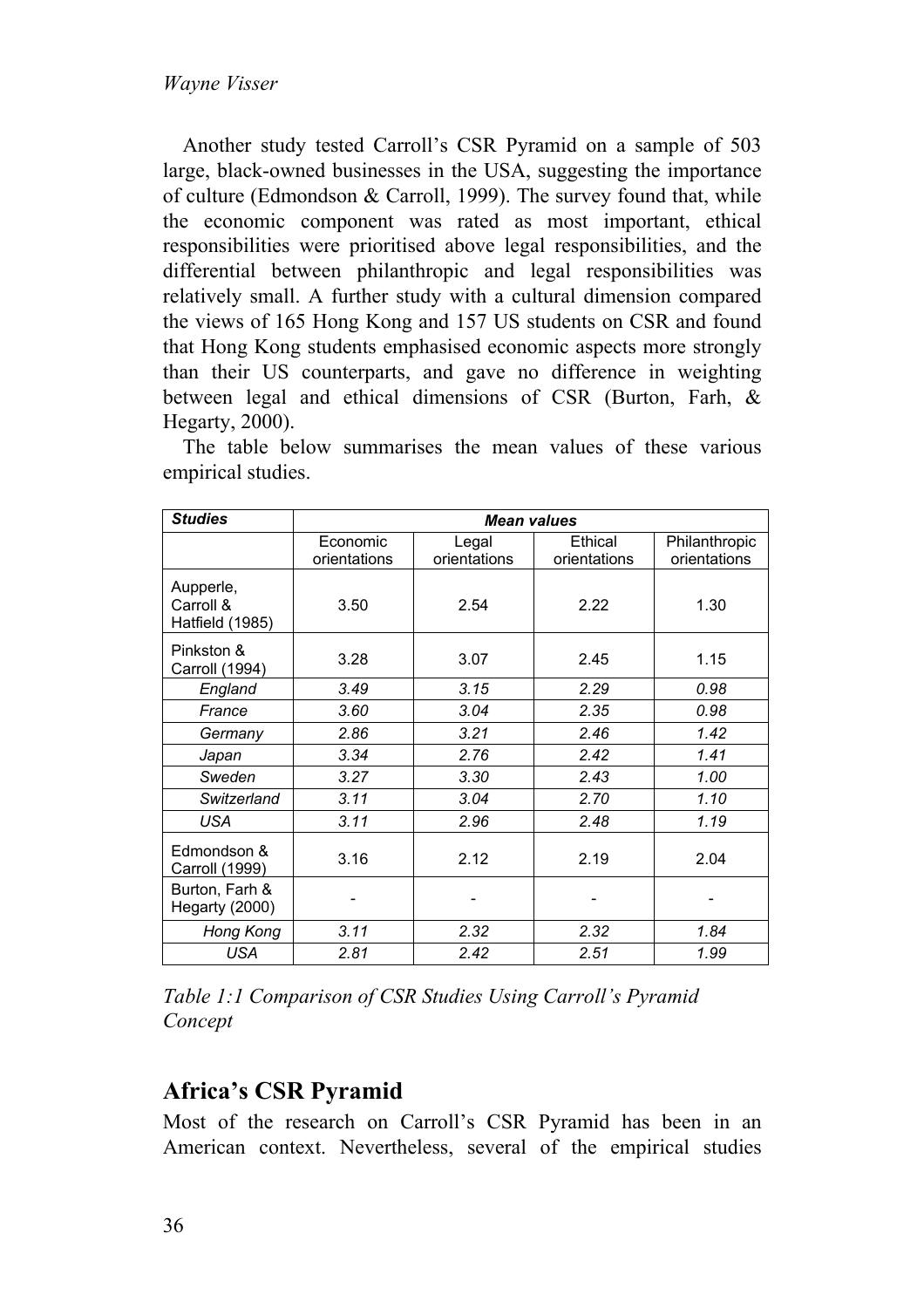Another study tested Carroll's CSR Pyramid on a sample of 503 large, black-owned businesses in the USA, suggesting the importance of culture (Edmondson & Carroll, 1999). The survey found that, while the economic component was rated as most important, ethical responsibilities were prioritised above legal responsibilities, and the differential between philanthropic and legal responsibilities was relatively small. A further study with a cultural dimension compared the views of 165 Hong Kong and 157 US students on CSR and found that Hong Kong students emphasised economic aspects more strongly than their US counterparts, and gave no difference in weighting between legal and ethical dimensions of CSR (Burton, Farh, & Hegarty, 2000).

| <b>Studies</b>                            | <b>Mean values</b>       |                       |                         |                               |
|-------------------------------------------|--------------------------|-----------------------|-------------------------|-------------------------------|
|                                           | Economic<br>orientations | Legal<br>orientations | Ethical<br>orientations | Philanthropic<br>orientations |
| Aupperle,<br>Carroll &<br>Hatfield (1985) | 3.50                     | 2.54                  | 2.22                    | 1.30                          |
| Pinkston &<br>Carroll (1994)              | 3.28                     | 3.07                  | 2.45                    | 1.15                          |
| England                                   | 3.49                     | 3.15                  | 2.29                    | 0.98                          |
| France                                    | 3.60                     | 3.04                  | 2.35                    | 0.98                          |
| Germany                                   | 2.86                     | 3.21                  | 2.46                    | 1.42                          |
| Japan                                     | 3.34                     | 2.76                  | 2.42                    | 1.41                          |
| Sweden                                    | 3.27                     | 3.30                  | 2.43                    | 1.00                          |
| Switzerland                               | 3.11                     | 3.04                  | 2.70                    | 1.10                          |
| <b>USA</b>                                | 3.11                     | 2.96                  | 2.48                    | 1.19                          |
| Edmondson &<br>Carroll (1999)             | 3.16                     | 2.12                  | 2.19                    | 2.04                          |
| Burton, Farh &<br>Hegarty (2000)          |                          |                       |                         |                               |
| Hong Kong                                 | 3.11                     | 2.32                  | 2.32                    | 1.84                          |
| USA                                       | 2.81                     | 2.42                  | 2.51                    | 1.99                          |

The table below summarises the mean values of these various empirical studies.

*Table 1:1 Comparison of CSR Studies Using Carroll's Pyramid Concept* 

# **Africa's CSR Pyramid**

Most of the research on Carroll's CSR Pyramid has been in an American context. Nevertheless, several of the empirical studies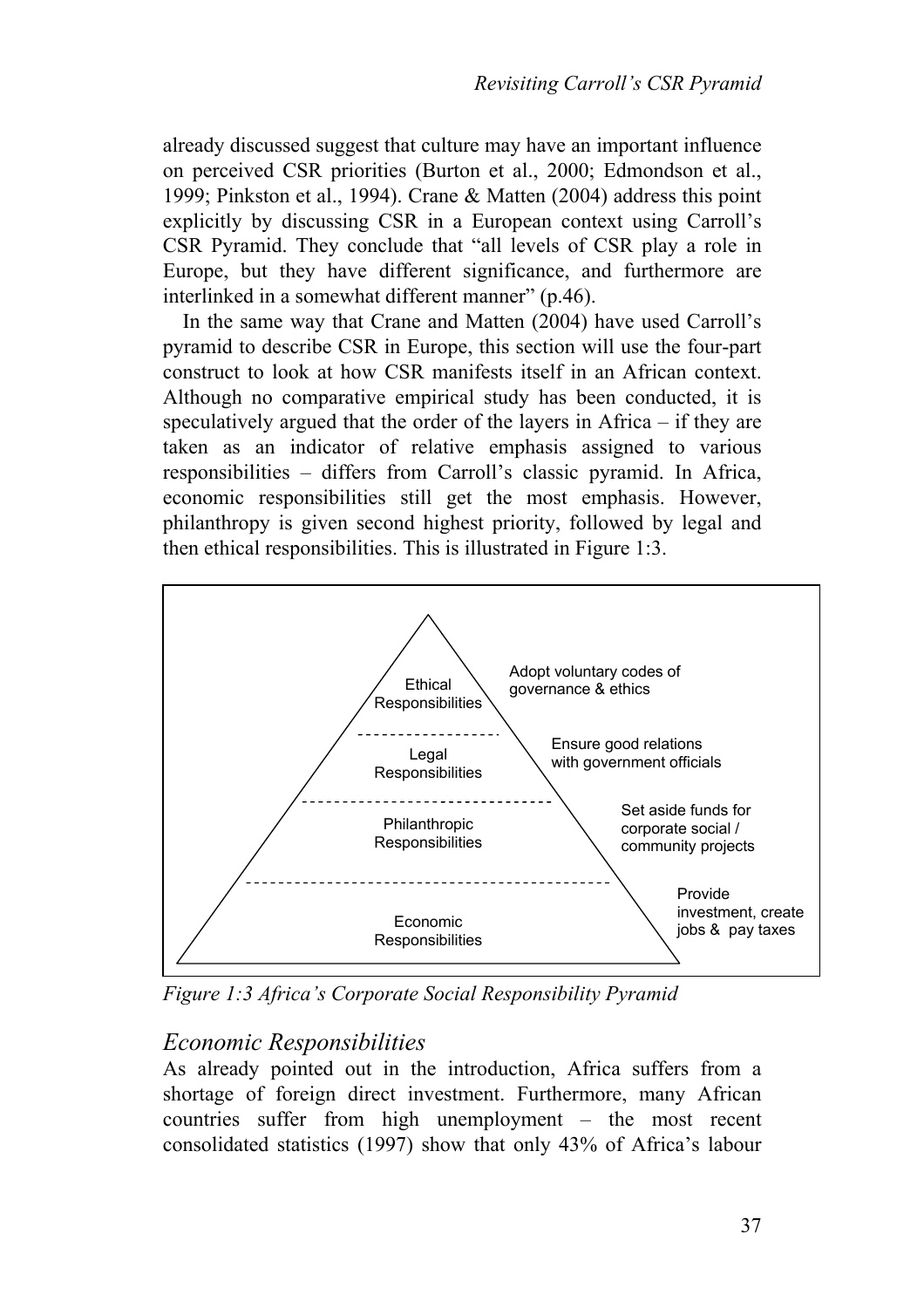already discussed suggest that culture may have an important influence on perceived CSR priorities (Burton et al., 2000; Edmondson et al., 1999; Pinkston et al., 1994). Crane & Matten (2004) address this point explicitly by discussing CSR in a European context using Carroll's CSR Pyramid. They conclude that "all levels of CSR play a role in Europe, but they have different significance, and furthermore are interlinked in a somewhat different manner" (p.46).

 In the same way that Crane and Matten (2004) have used Carroll's pyramid to describe CSR in Europe, this section will use the four-part construct to look at how CSR manifests itself in an African context. Although no comparative empirical study has been conducted, it is speculatively argued that the order of the layers in Africa – if they are taken as an indicator of relative emphasis assigned to various responsibilities – differs from Carroll's classic pyramid. In Africa, economic responsibilities still get the most emphasis. However, philanthropy is given second highest priority, followed by legal and then ethical responsibilities. This is illustrated in Figure 1:3.



*Figure 1:3 Africa's Corporate Social Responsibility Pyramid* 

## *Economic Responsibilities*

As already pointed out in the introduction, Africa suffers from a shortage of foreign direct investment. Furthermore, many African countries suffer from high unemployment – the most recent consolidated statistics (1997) show that only 43% of Africa's labour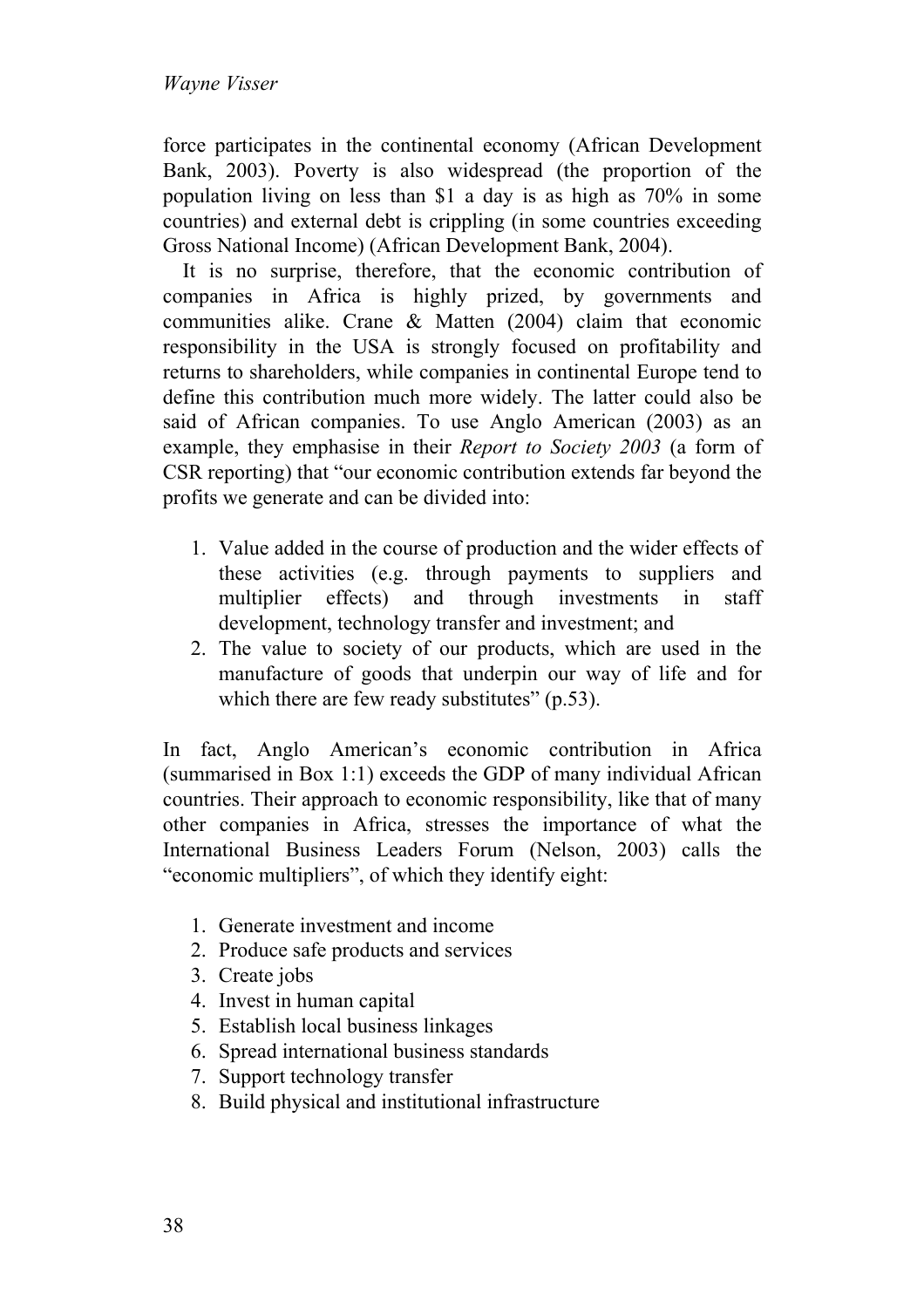force participates in the continental economy (African Development Bank, 2003). Poverty is also widespread (the proportion of the population living on less than \$1 a day is as high as 70% in some countries) and external debt is crippling (in some countries exceeding Gross National Income) (African Development Bank, 2004).

It is no surprise, therefore, that the economic contribution of companies in Africa is highly prized, by governments and communities alike. Crane & Matten (2004) claim that economic responsibility in the USA is strongly focused on profitability and returns to shareholders, while companies in continental Europe tend to define this contribution much more widely. The latter could also be said of African companies. To use Anglo American (2003) as an example, they emphasise in their *Report to Society 2003* (a form of CSR reporting) that "our economic contribution extends far beyond the profits we generate and can be divided into:

- 1. Value added in the course of production and the wider effects of these activities (e.g. through payments to suppliers and multiplier effects) and through investments in staff development, technology transfer and investment; and
- 2. The value to society of our products, which are used in the manufacture of goods that underpin our way of life and for which there are few ready substitutes" (p.53).

In fact, Anglo American's economic contribution in Africa (summarised in Box 1:1) exceeds the GDP of many individual African countries. Their approach to economic responsibility, like that of many other companies in Africa, stresses the importance of what the International Business Leaders Forum (Nelson, 2003) calls the "economic multipliers", of which they identify eight:

- 1. Generate investment and income
- 2. Produce safe products and services
- 3. Create jobs
- 4. Invest in human capital
- 5. Establish local business linkages
- 6. Spread international business standards
- 7. Support technology transfer
- 8. Build physical and institutional infrastructure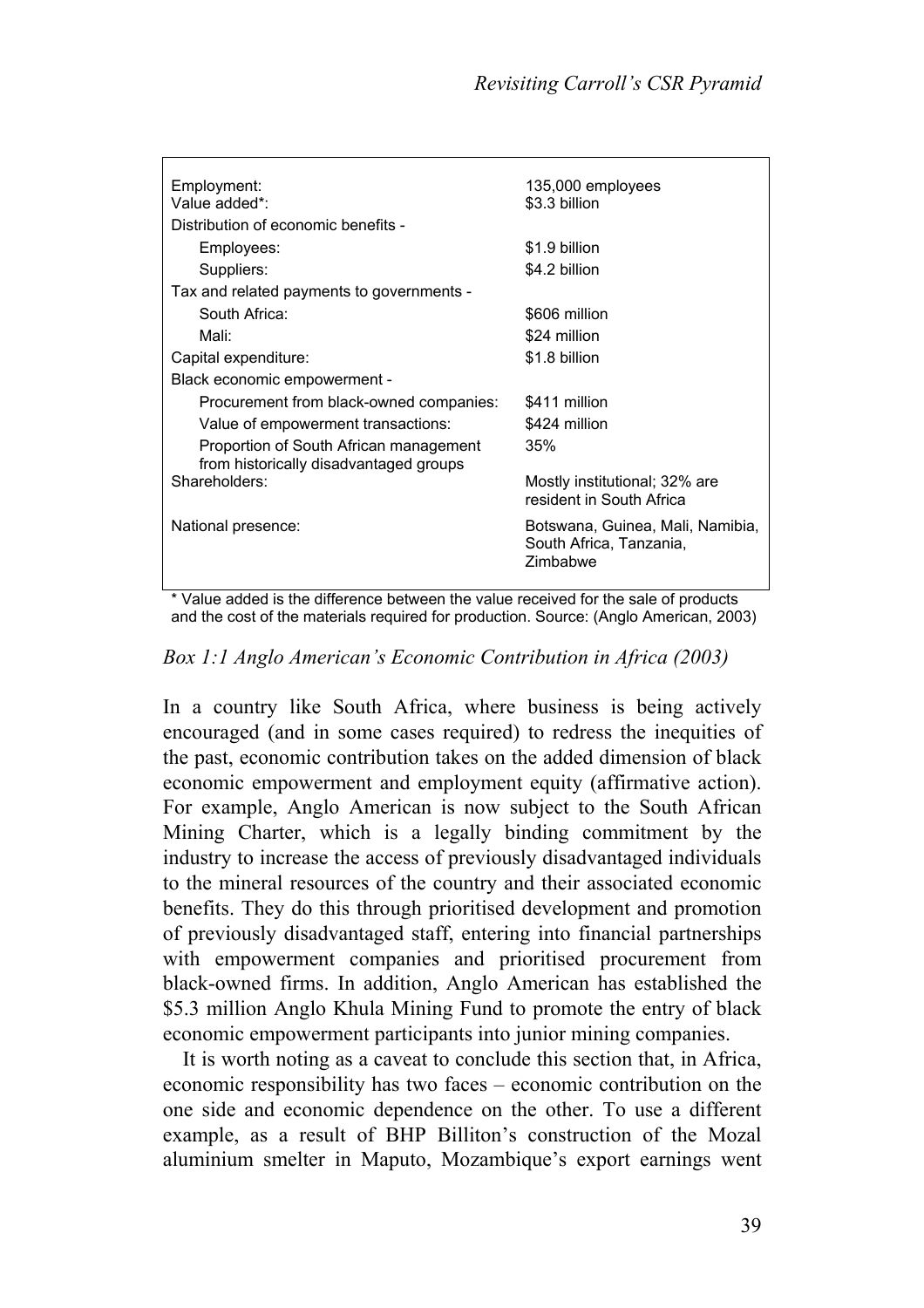| Employment:<br>Value added*:                                                     | 135,000 employees                                                       |  |  |  |
|----------------------------------------------------------------------------------|-------------------------------------------------------------------------|--|--|--|
|                                                                                  | \$3.3 billion                                                           |  |  |  |
| Distribution of economic benefits -                                              |                                                                         |  |  |  |
| Employees:                                                                       | \$1.9 billion                                                           |  |  |  |
| Suppliers:                                                                       | \$4.2 billion                                                           |  |  |  |
| Tax and related payments to governments -                                        |                                                                         |  |  |  |
| South Africa:                                                                    | \$606 million                                                           |  |  |  |
| Mali:                                                                            | \$24 million                                                            |  |  |  |
| Capital expenditure:                                                             | \$1.8 billion                                                           |  |  |  |
| Black economic empowerment -                                                     |                                                                         |  |  |  |
| Procurement from black-owned companies:                                          | \$411 million                                                           |  |  |  |
| Value of empowerment transactions:                                               | \$424 million                                                           |  |  |  |
| Proportion of South African management<br>from historically disadvantaged groups | 35%                                                                     |  |  |  |
| Shareholders:                                                                    | Mostly institutional; 32% are<br>resident in South Africa               |  |  |  |
| National presence:                                                               | Botswana, Guinea, Mali, Namibia,<br>South Africa, Tanzania,<br>Zimbabwe |  |  |  |

\* Value added is the difference between the value received for the sale of products and the cost of the materials required for production. Source: (Anglo American, 2003)

#### *Box 1:1 Anglo American's Economic Contribution in Africa (2003)*

In a country like South Africa, where business is being actively encouraged (and in some cases required) to redress the inequities of the past, economic contribution takes on the added dimension of black economic empowerment and employment equity (affirmative action). For example, Anglo American is now subject to the South African Mining Charter, which is a legally binding commitment by the industry to increase the access of previously disadvantaged individuals to the mineral resources of the country and their associated economic benefits. They do this through prioritised development and promotion of previously disadvantaged staff, entering into financial partnerships with empowerment companies and prioritised procurement from black-owned firms. In addition, Anglo American has established the \$5.3 million Anglo Khula Mining Fund to promote the entry of black economic empowerment participants into junior mining companies.

It is worth noting as a caveat to conclude this section that, in Africa, economic responsibility has two faces – economic contribution on the one side and economic dependence on the other. To use a different example, as a result of BHP Billiton's construction of the Mozal aluminium smelter in Maputo, Mozambique's export earnings went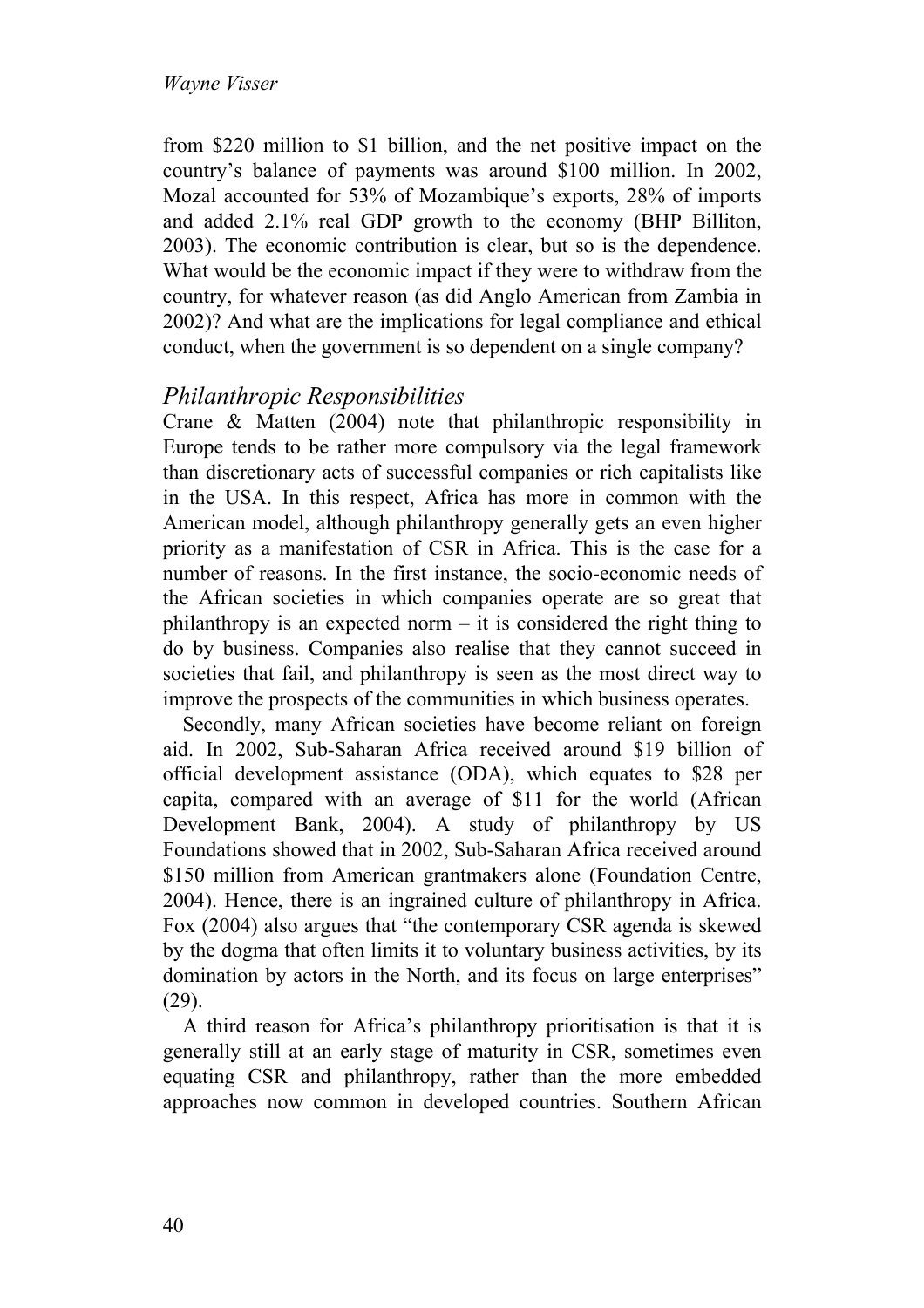from \$220 million to \$1 billion, and the net positive impact on the country's balance of payments was around \$100 million. In 2002, Mozal accounted for 53% of Mozambique's exports, 28% of imports and added 2.1% real GDP growth to the economy (BHP Billiton, 2003). The economic contribution is clear, but so is the dependence. What would be the economic impact if they were to withdraw from the country, for whatever reason (as did Anglo American from Zambia in 2002)? And what are the implications for legal compliance and ethical conduct, when the government is so dependent on a single company?

## *Philanthropic Responsibilities*

Crane & Matten (2004) note that philanthropic responsibility in Europe tends to be rather more compulsory via the legal framework than discretionary acts of successful companies or rich capitalists like in the USA. In this respect, Africa has more in common with the American model, although philanthropy generally gets an even higher priority as a manifestation of CSR in Africa. This is the case for a number of reasons. In the first instance, the socio-economic needs of the African societies in which companies operate are so great that philanthropy is an expected norm  $-$  it is considered the right thing to do by business. Companies also realise that they cannot succeed in societies that fail, and philanthropy is seen as the most direct way to improve the prospects of the communities in which business operates.

Secondly, many African societies have become reliant on foreign aid. In 2002, Sub-Saharan Africa received around \$19 billion of official development assistance (ODA), which equates to \$28 per capita, compared with an average of \$11 for the world (African Development Bank, 2004). A study of philanthropy by US Foundations showed that in 2002, Sub-Saharan Africa received around \$150 million from American grantmakers alone (Foundation Centre, 2004). Hence, there is an ingrained culture of philanthropy in Africa. Fox (2004) also argues that "the contemporary CSR agenda is skewed by the dogma that often limits it to voluntary business activities, by its domination by actors in the North, and its focus on large enterprises" (29).

A third reason for Africa's philanthropy prioritisation is that it is generally still at an early stage of maturity in CSR, sometimes even equating CSR and philanthropy, rather than the more embedded approaches now common in developed countries. Southern African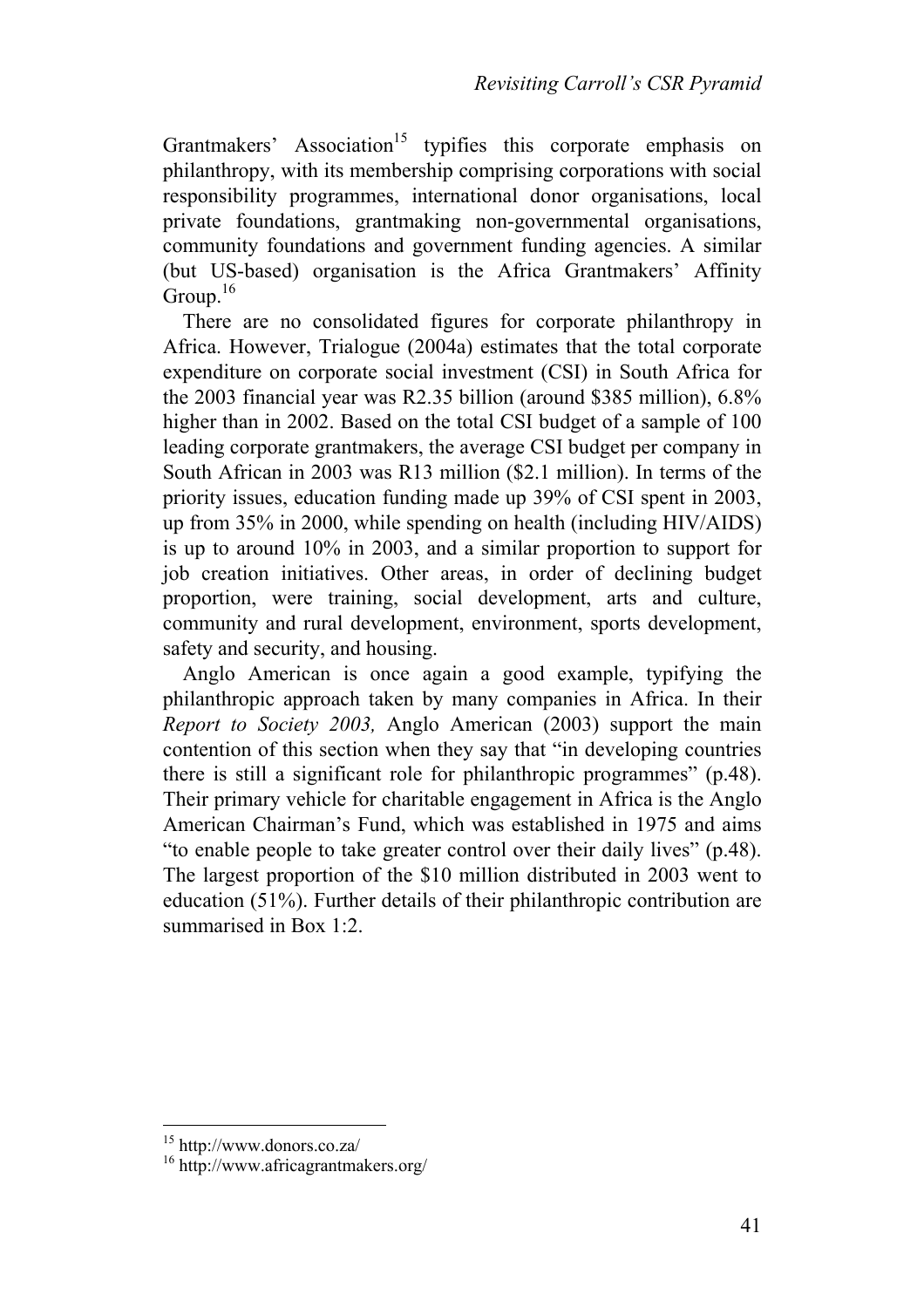Grantmakers' Association<sup>15</sup> typifies this corporate emphasis on philanthropy, with its membership comprising corporations with social responsibility programmes, international donor organisations, local private foundations, grantmaking non-governmental organisations, community foundations and government funding agencies. A similar (but US-based) organisation is the Africa Grantmakers' Affinity Group. $16$ 

There are no consolidated figures for corporate philanthropy in Africa. However, Trialogue (2004a) estimates that the total corporate expenditure on corporate social investment (CSI) in South Africa for the 2003 financial year was R2.35 billion (around \$385 million), 6.8% higher than in 2002. Based on the total CSI budget of a sample of 100 leading corporate grantmakers, the average CSI budget per company in South African in 2003 was R13 million (\$2.1 million). In terms of the priority issues, education funding made up 39% of CSI spent in 2003, up from 35% in 2000, while spending on health (including HIV/AIDS) is up to around 10% in 2003, and a similar proportion to support for job creation initiatives. Other areas, in order of declining budget proportion, were training, social development, arts and culture, community and rural development, environment, sports development, safety and security, and housing.

Anglo American is once again a good example, typifying the philanthropic approach taken by many companies in Africa. In their *Report to Society 2003,* Anglo American (2003) support the main contention of this section when they say that "in developing countries there is still a significant role for philanthropic programmes" (p.48). Their primary vehicle for charitable engagement in Africa is the Anglo American Chairman's Fund, which was established in 1975 and aims "to enable people to take greater control over their daily lives" (p.48). The largest proportion of the \$10 million distributed in 2003 went to education (51%). Further details of their philanthropic contribution are summarised in Box 1:2.

 $\overline{a}$ 

<sup>15</sup> http://www.donors.co.za/

<sup>16</sup> http://www.africagrantmakers.org/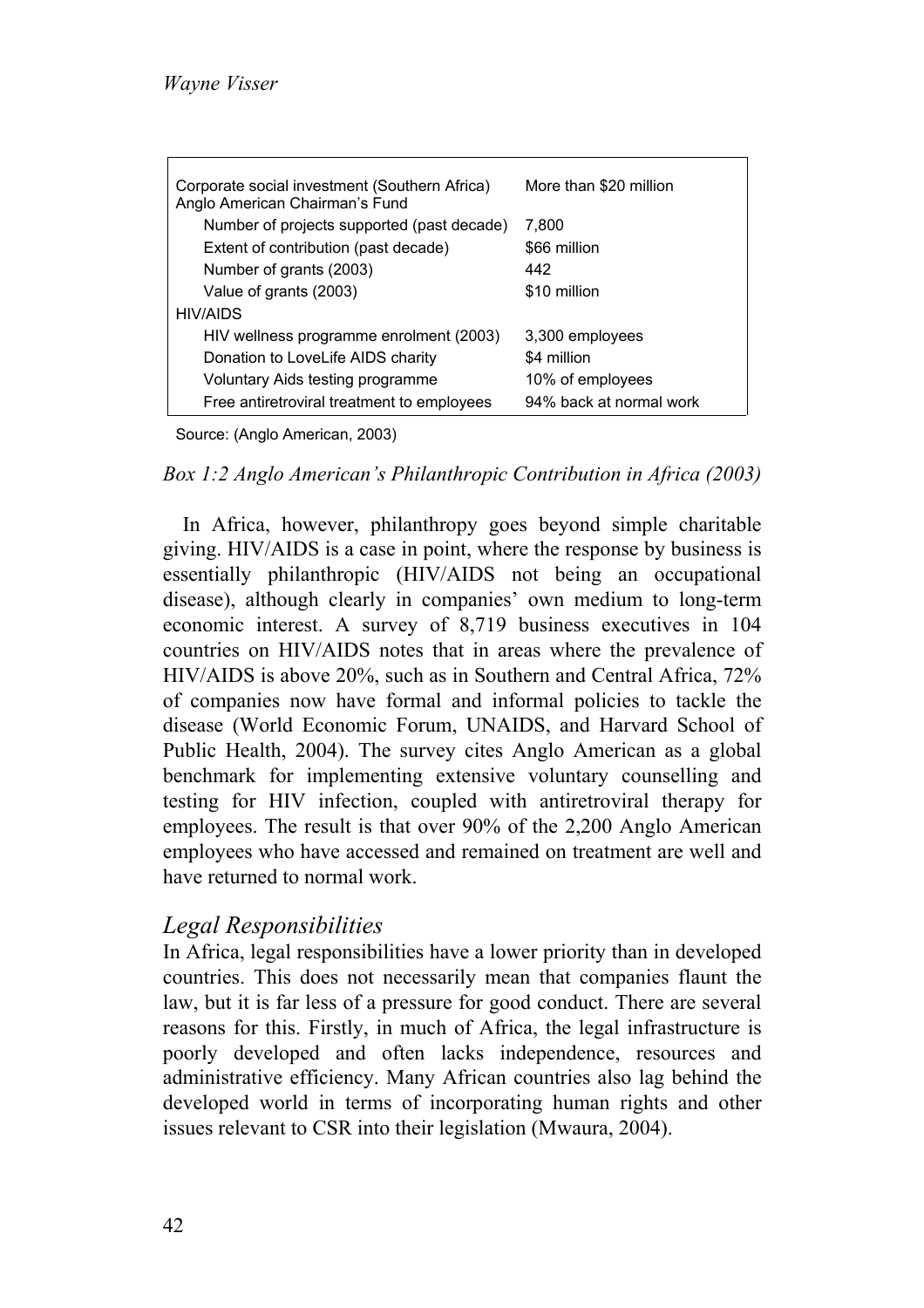| Corporate social investment (Southern Africa)<br>Anglo American Chairman's Fund | More than \$20 million  |  |
|---------------------------------------------------------------------------------|-------------------------|--|
| Number of projects supported (past decade)                                      | 7.800                   |  |
| Extent of contribution (past decade)                                            | \$66 million            |  |
| Number of grants (2003)                                                         | 442                     |  |
| Value of grants (2003)                                                          | \$10 million            |  |
| HIV/AIDS                                                                        |                         |  |
| HIV wellness programme enrolment (2003)                                         | 3,300 employees         |  |
| Donation to LoveLife AIDS charity                                               | \$4 million             |  |
| Voluntary Aids testing programme                                                | 10% of employees        |  |
| Free antiretroviral treatment to employees                                      | 94% back at normal work |  |

Source: (Anglo American, 2003)

*Box 1:2 Anglo American's Philanthropic Contribution in Africa (2003)* 

In Africa, however, philanthropy goes beyond simple charitable giving. HIV/AIDS is a case in point, where the response by business is essentially philanthropic (HIV/AIDS not being an occupational disease), although clearly in companies' own medium to long-term economic interest. A survey of 8,719 business executives in 104 countries on HIV/AIDS notes that in areas where the prevalence of HIV/AIDS is above 20%, such as in Southern and Central Africa, 72% of companies now have formal and informal policies to tackle the disease (World Economic Forum, UNAIDS, and Harvard School of Public Health, 2004). The survey cites Anglo American as a global benchmark for implementing extensive voluntary counselling and testing for HIV infection, coupled with antiretroviral therapy for employees. The result is that over 90% of the 2,200 Anglo American employees who have accessed and remained on treatment are well and have returned to normal work.

#### *Legal Responsibilities*

In Africa, legal responsibilities have a lower priority than in developed countries. This does not necessarily mean that companies flaunt the law, but it is far less of a pressure for good conduct. There are several reasons for this. Firstly, in much of Africa, the legal infrastructure is poorly developed and often lacks independence, resources and administrative efficiency. Many African countries also lag behind the developed world in terms of incorporating human rights and other issues relevant to CSR into their legislation (Mwaura, 2004).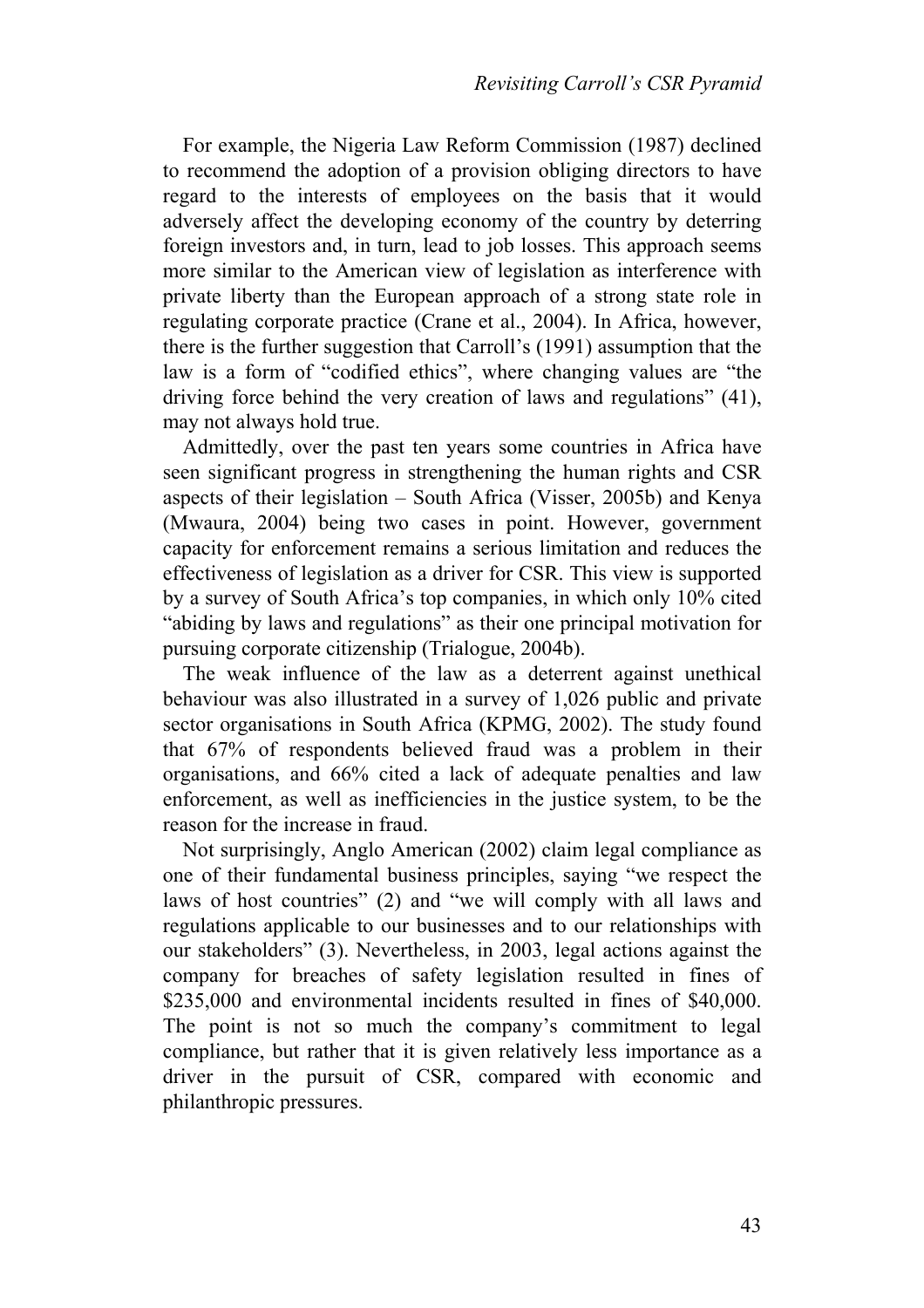For example, the Nigeria Law Reform Commission (1987) declined to recommend the adoption of a provision obliging directors to have regard to the interests of employees on the basis that it would adversely affect the developing economy of the country by deterring foreign investors and, in turn, lead to job losses. This approach seems more similar to the American view of legislation as interference with private liberty than the European approach of a strong state role in regulating corporate practice (Crane et al., 2004). In Africa, however, there is the further suggestion that Carroll's (1991) assumption that the law is a form of "codified ethics", where changing values are "the driving force behind the very creation of laws and regulations" (41), may not always hold true.

Admittedly, over the past ten years some countries in Africa have seen significant progress in strengthening the human rights and CSR aspects of their legislation – South Africa (Visser, 2005b) and Kenya (Mwaura, 2004) being two cases in point. However, government capacity for enforcement remains a serious limitation and reduces the effectiveness of legislation as a driver for CSR. This view is supported by a survey of South Africa's top companies, in which only 10% cited "abiding by laws and regulations" as their one principal motivation for pursuing corporate citizenship (Trialogue, 2004b).

The weak influence of the law as a deterrent against unethical behaviour was also illustrated in a survey of 1,026 public and private sector organisations in South Africa (KPMG, 2002). The study found that 67% of respondents believed fraud was a problem in their organisations, and 66% cited a lack of adequate penalties and law enforcement, as well as inefficiencies in the justice system, to be the reason for the increase in fraud.

Not surprisingly, Anglo American (2002) claim legal compliance as one of their fundamental business principles, saying "we respect the laws of host countries" (2) and "we will comply with all laws and regulations applicable to our businesses and to our relationships with our stakeholders" (3). Nevertheless, in 2003, legal actions against the company for breaches of safety legislation resulted in fines of \$235,000 and environmental incidents resulted in fines of \$40,000. The point is not so much the company's commitment to legal compliance, but rather that it is given relatively less importance as a driver in the pursuit of CSR, compared with economic and philanthropic pressures.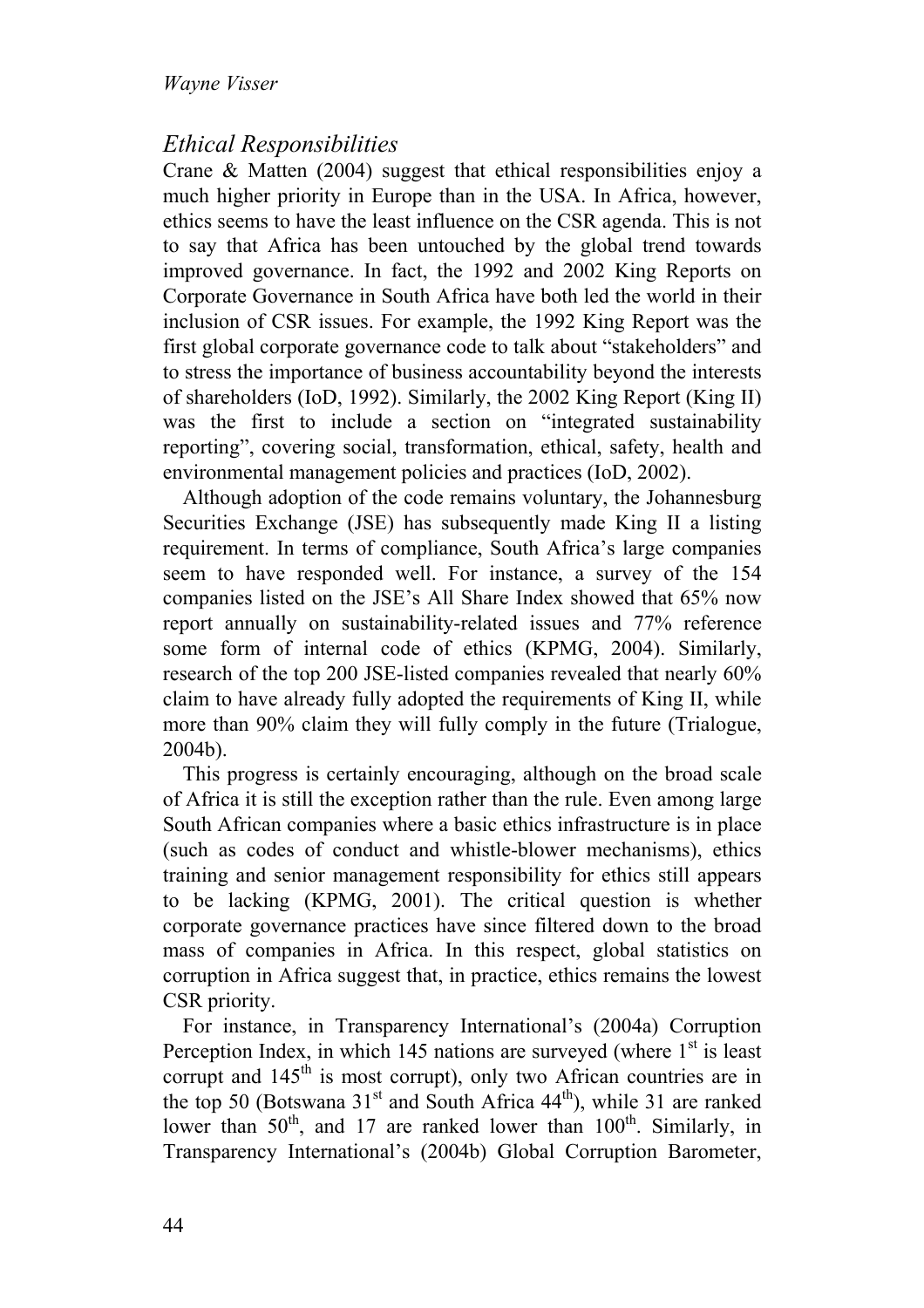## *Ethical Responsibilities*

Crane & Matten (2004) suggest that ethical responsibilities enjoy a much higher priority in Europe than in the USA. In Africa, however, ethics seems to have the least influence on the CSR agenda. This is not to say that Africa has been untouched by the global trend towards improved governance. In fact, the 1992 and 2002 King Reports on Corporate Governance in South Africa have both led the world in their inclusion of CSR issues. For example, the 1992 King Report was the first global corporate governance code to talk about "stakeholders" and to stress the importance of business accountability beyond the interests of shareholders (IoD, 1992). Similarly, the 2002 King Report (King II) was the first to include a section on "integrated sustainability reporting", covering social, transformation, ethical, safety, health and environmental management policies and practices (IoD, 2002).

Although adoption of the code remains voluntary, the Johannesburg Securities Exchange (JSE) has subsequently made King II a listing requirement. In terms of compliance, South Africa's large companies seem to have responded well. For instance, a survey of the 154 companies listed on the JSE's All Share Index showed that 65% now report annually on sustainability-related issues and 77% reference some form of internal code of ethics (KPMG, 2004). Similarly, research of the top 200 JSE-listed companies revealed that nearly 60% claim to have already fully adopted the requirements of King II, while more than 90% claim they will fully comply in the future (Trialogue, 2004b).

This progress is certainly encouraging, although on the broad scale of Africa it is still the exception rather than the rule. Even among large South African companies where a basic ethics infrastructure is in place (such as codes of conduct and whistle-blower mechanisms), ethics training and senior management responsibility for ethics still appears to be lacking (KPMG, 2001). The critical question is whether corporate governance practices have since filtered down to the broad mass of companies in Africa. In this respect, global statistics on corruption in Africa suggest that, in practice, ethics remains the lowest CSR priority.

For instance, in Transparency International's (2004a) Corruption Perception Index, in which  $145$  nations are surveyed (where  $1<sup>st</sup>$  is least corrupt and  $145<sup>th</sup>$  is most corrupt), only two African countries are in the top 50 (Botswana  $31<sup>st</sup>$  and South Africa  $44<sup>th</sup>$ ), while 31 are ranked lower than  $50<sup>th</sup>$ , and 17 are ranked lower than  $100<sup>th</sup>$ . Similarly, in Transparency International's (2004b) Global Corruption Barometer,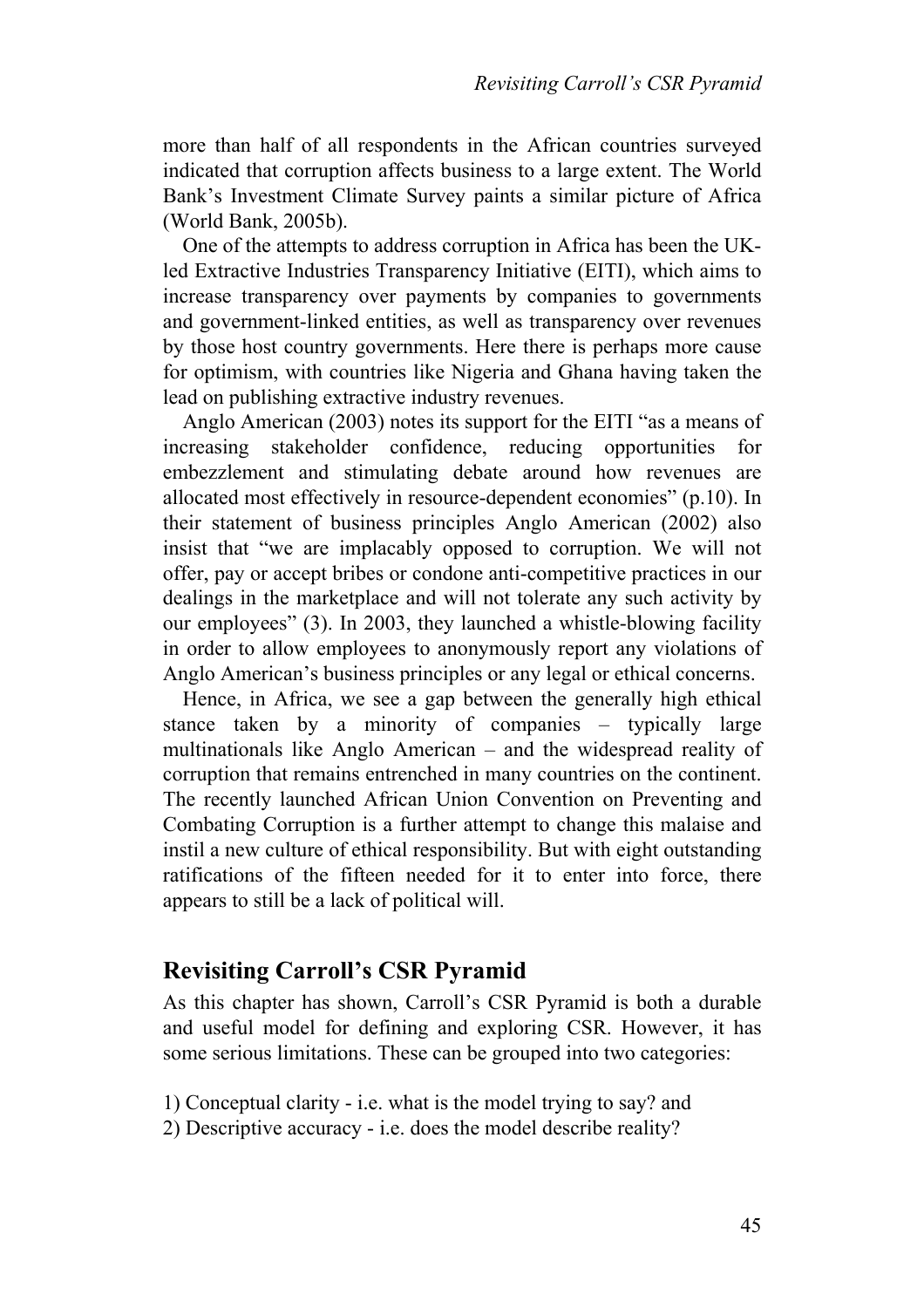more than half of all respondents in the African countries surveyed indicated that corruption affects business to a large extent. The World Bank's Investment Climate Survey paints a similar picture of Africa (World Bank, 2005b).

One of the attempts to address corruption in Africa has been the UKled Extractive Industries Transparency Initiative (EITI), which aims to increase transparency over payments by companies to governments and government-linked entities, as well as transparency over revenues by those host country governments. Here there is perhaps more cause for optimism, with countries like Nigeria and Ghana having taken the lead on publishing extractive industry revenues.

Anglo American (2003) notes its support for the EITI "as a means of increasing stakeholder confidence, reducing opportunities for embezzlement and stimulating debate around how revenues are allocated most effectively in resource-dependent economies" (p.10). In their statement of business principles Anglo American (2002) also insist that "we are implacably opposed to corruption. We will not offer, pay or accept bribes or condone anti-competitive practices in our dealings in the marketplace and will not tolerate any such activity by our employees" (3). In 2003, they launched a whistle-blowing facility in order to allow employees to anonymously report any violations of Anglo American's business principles or any legal or ethical concerns.

Hence, in Africa, we see a gap between the generally high ethical stance taken by a minority of companies – typically large multinationals like Anglo American – and the widespread reality of corruption that remains entrenched in many countries on the continent. The recently launched African Union Convention on Preventing and Combating Corruption is a further attempt to change this malaise and instil a new culture of ethical responsibility. But with eight outstanding ratifications of the fifteen needed for it to enter into force, there appears to still be a lack of political will.

#### **Revisiting Carroll's CSR Pyramid**

As this chapter has shown, Carroll's CSR Pyramid is both a durable and useful model for defining and exploring CSR. However, it has some serious limitations. These can be grouped into two categories:

1) Conceptual clarity - i.e. what is the model trying to say? and

2) Descriptive accuracy - i.e. does the model describe reality?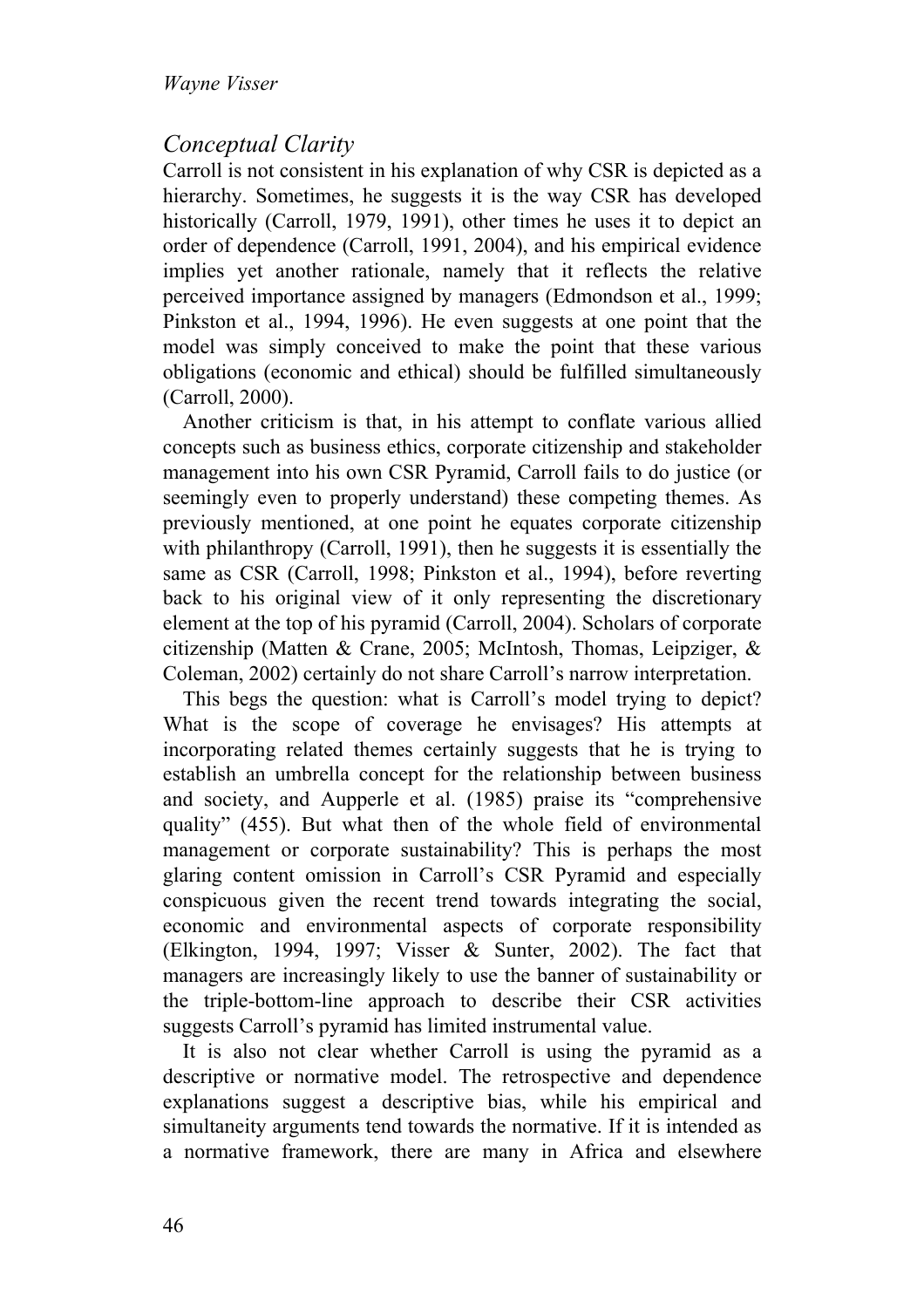## *Conceptual Clarity*

Carroll is not consistent in his explanation of why CSR is depicted as a hierarchy. Sometimes, he suggests it is the way CSR has developed historically (Carroll, 1979, 1991), other times he uses it to depict an order of dependence (Carroll, 1991, 2004), and his empirical evidence implies yet another rationale, namely that it reflects the relative perceived importance assigned by managers (Edmondson et al., 1999; Pinkston et al., 1994, 1996). He even suggests at one point that the model was simply conceived to make the point that these various obligations (economic and ethical) should be fulfilled simultaneously (Carroll, 2000).

Another criticism is that, in his attempt to conflate various allied concepts such as business ethics, corporate citizenship and stakeholder management into his own CSR Pyramid, Carroll fails to do justice (or seemingly even to properly understand) these competing themes. As previously mentioned, at one point he equates corporate citizenship with philanthropy (Carroll, 1991), then he suggests it is essentially the same as CSR (Carroll, 1998; Pinkston et al., 1994), before reverting back to his original view of it only representing the discretionary element at the top of his pyramid (Carroll, 2004). Scholars of corporate citizenship (Matten & Crane, 2005; McIntosh, Thomas, Leipziger, & Coleman, 2002) certainly do not share Carroll's narrow interpretation.

This begs the question: what is Carroll's model trying to depict? What is the scope of coverage he envisages? His attempts at incorporating related themes certainly suggests that he is trying to establish an umbrella concept for the relationship between business and society, and Aupperle et al. (1985) praise its "comprehensive quality" (455). But what then of the whole field of environmental management or corporate sustainability? This is perhaps the most glaring content omission in Carroll's CSR Pyramid and especially conspicuous given the recent trend towards integrating the social, economic and environmental aspects of corporate responsibility (Elkington, 1994, 1997; Visser & Sunter, 2002). The fact that managers are increasingly likely to use the banner of sustainability or the triple-bottom-line approach to describe their CSR activities suggests Carroll's pyramid has limited instrumental value.

It is also not clear whether Carroll is using the pyramid as a descriptive or normative model. The retrospective and dependence explanations suggest a descriptive bias, while his empirical and simultaneity arguments tend towards the normative. If it is intended as a normative framework, there are many in Africa and elsewhere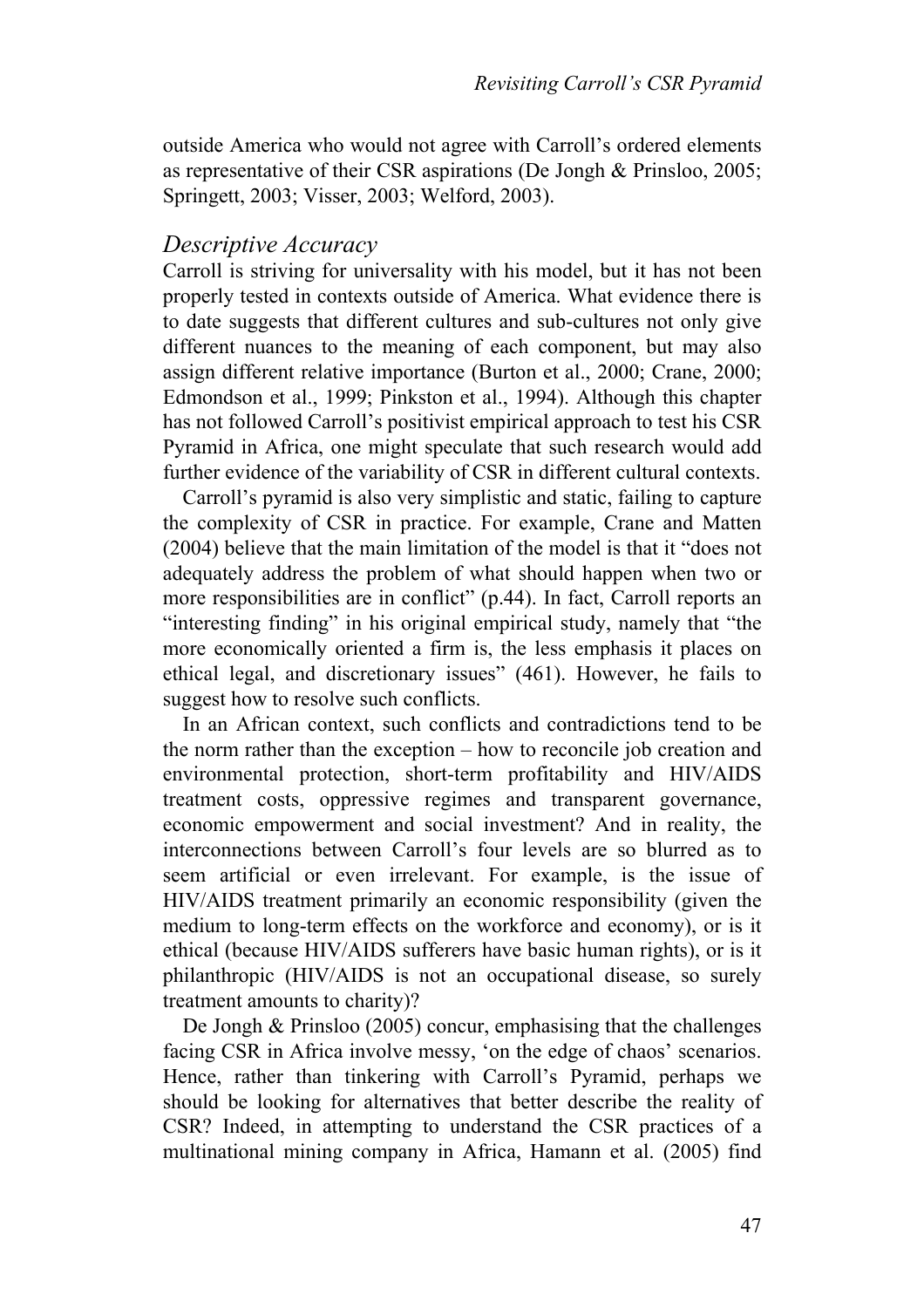outside America who would not agree with Carroll's ordered elements as representative of their CSR aspirations (De Jongh & Prinsloo, 2005; Springett, 2003; Visser, 2003; Welford, 2003).

#### *Descriptive Accuracy*

Carroll is striving for universality with his model, but it has not been properly tested in contexts outside of America. What evidence there is to date suggests that different cultures and sub-cultures not only give different nuances to the meaning of each component, but may also assign different relative importance (Burton et al., 2000; Crane, 2000; Edmondson et al., 1999; Pinkston et al., 1994). Although this chapter has not followed Carroll's positivist empirical approach to test his CSR Pyramid in Africa, one might speculate that such research would add further evidence of the variability of CSR in different cultural contexts.

Carroll's pyramid is also very simplistic and static, failing to capture the complexity of CSR in practice. For example, Crane and Matten (2004) believe that the main limitation of the model is that it "does not adequately address the problem of what should happen when two or more responsibilities are in conflict" (p.44). In fact, Carroll reports an "interesting finding" in his original empirical study, namely that "the more economically oriented a firm is, the less emphasis it places on ethical legal, and discretionary issues" (461). However, he fails to suggest how to resolve such conflicts.

In an African context, such conflicts and contradictions tend to be the norm rather than the exception – how to reconcile job creation and environmental protection, short-term profitability and HIV/AIDS treatment costs, oppressive regimes and transparent governance, economic empowerment and social investment? And in reality, the interconnections between Carroll's four levels are so blurred as to seem artificial or even irrelevant. For example, is the issue of HIV/AIDS treatment primarily an economic responsibility (given the medium to long-term effects on the workforce and economy), or is it ethical (because HIV/AIDS sufferers have basic human rights), or is it philanthropic (HIV/AIDS is not an occupational disease, so surely treatment amounts to charity)?

De Jongh & Prinsloo (2005) concur, emphasising that the challenges facing CSR in Africa involve messy, 'on the edge of chaos' scenarios. Hence, rather than tinkering with Carroll's Pyramid, perhaps we should be looking for alternatives that better describe the reality of CSR? Indeed, in attempting to understand the CSR practices of a multinational mining company in Africa, Hamann et al. (2005) find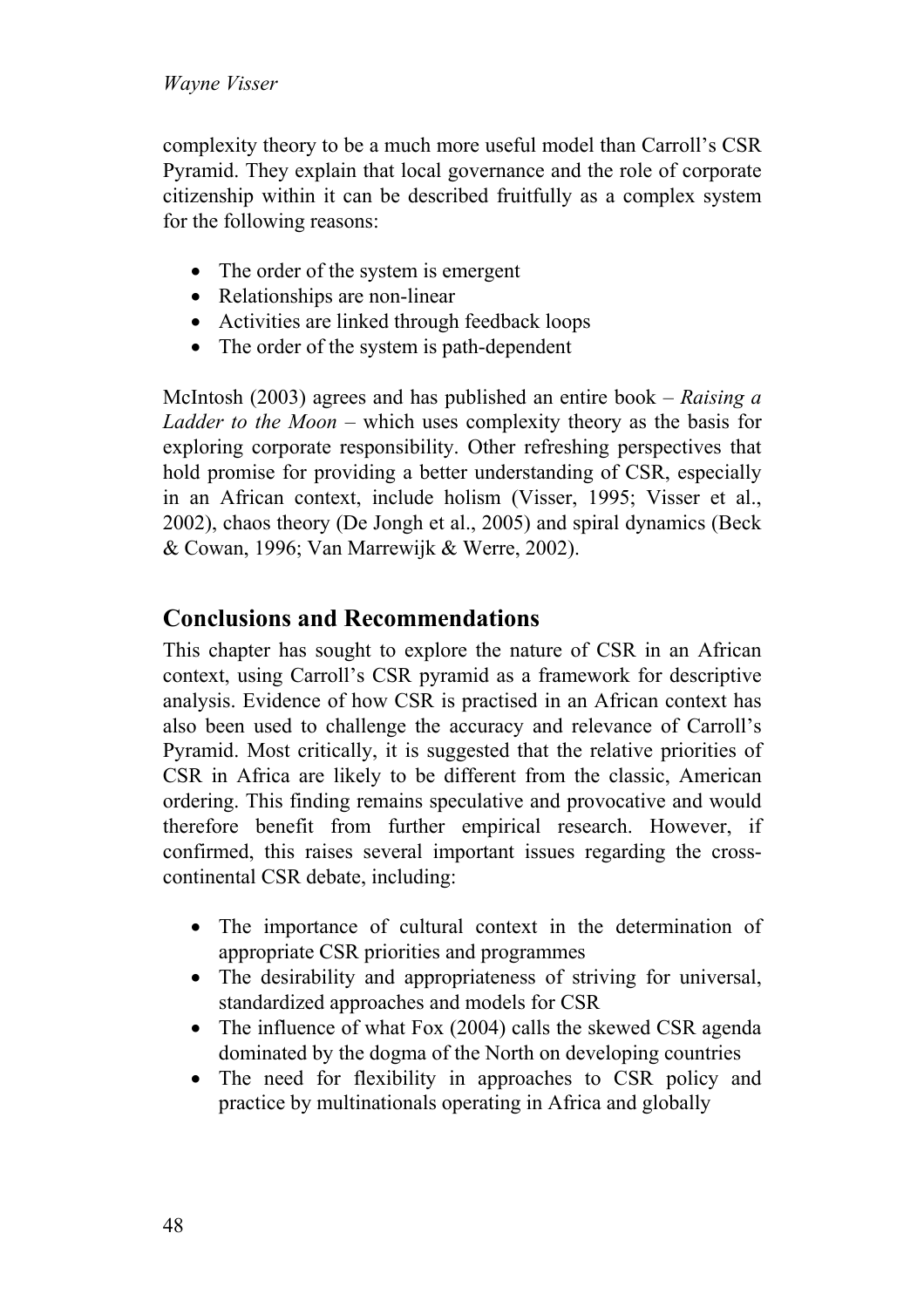complexity theory to be a much more useful model than Carroll's CSR Pyramid. They explain that local governance and the role of corporate citizenship within it can be described fruitfully as a complex system for the following reasons:

- The order of the system is emergent
- Relationships are non-linear
- Activities are linked through feedback loops
- The order of the system is path-dependent

McIntosh (2003) agrees and has published an entire book – *Raising a Ladder to the Moon* – which uses complexity theory as the basis for exploring corporate responsibility. Other refreshing perspectives that hold promise for providing a better understanding of CSR, especially in an African context, include holism (Visser, 1995; Visser et al., 2002), chaos theory (De Jongh et al., 2005) and spiral dynamics (Beck & Cowan, 1996; Van Marrewijk & Werre, 2002).

## **Conclusions and Recommendations**

This chapter has sought to explore the nature of CSR in an African context, using Carroll's CSR pyramid as a framework for descriptive analysis. Evidence of how CSR is practised in an African context has also been used to challenge the accuracy and relevance of Carroll's Pyramid. Most critically, it is suggested that the relative priorities of CSR in Africa are likely to be different from the classic, American ordering. This finding remains speculative and provocative and would therefore benefit from further empirical research. However, if confirmed, this raises several important issues regarding the crosscontinental CSR debate, including:

- The importance of cultural context in the determination of appropriate CSR priorities and programmes
- The desirability and appropriateness of striving for universal, standardized approaches and models for CSR
- The influence of what Fox (2004) calls the skewed CSR agenda dominated by the dogma of the North on developing countries
- The need for flexibility in approaches to CSR policy and practice by multinationals operating in Africa and globally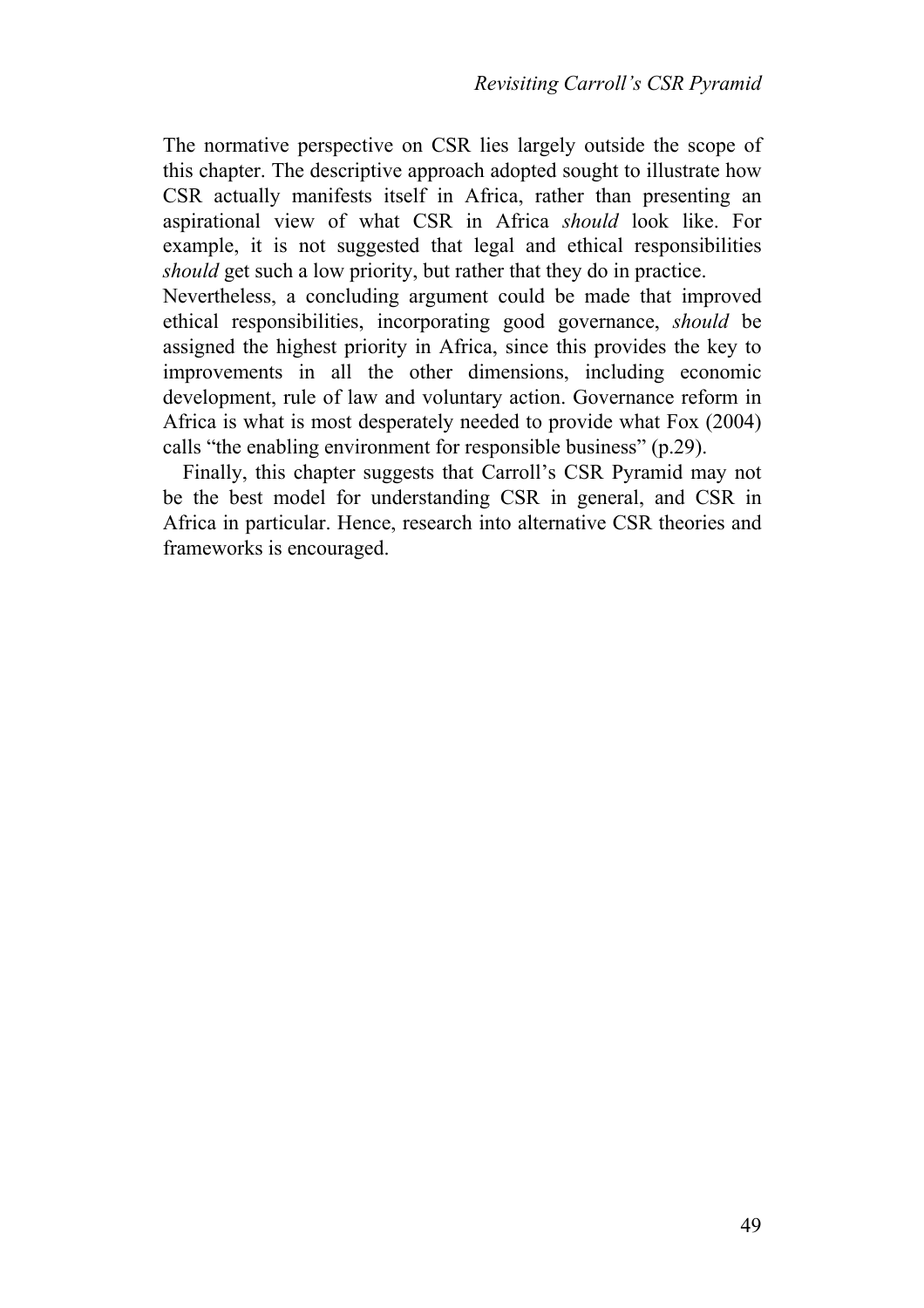The normative perspective on CSR lies largely outside the scope of this chapter. The descriptive approach adopted sought to illustrate how CSR actually manifests itself in Africa, rather than presenting an aspirational view of what CSR in Africa *should* look like. For example, it is not suggested that legal and ethical responsibilities *should* get such a low priority, but rather that they do in practice.

Nevertheless, a concluding argument could be made that improved ethical responsibilities, incorporating good governance, *should* be assigned the highest priority in Africa, since this provides the key to improvements in all the other dimensions, including economic development, rule of law and voluntary action. Governance reform in Africa is what is most desperately needed to provide what Fox (2004) calls "the enabling environment for responsible business" (p.29).

Finally, this chapter suggests that Carroll's CSR Pyramid may not be the best model for understanding CSR in general, and CSR in Africa in particular. Hence, research into alternative CSR theories and frameworks is encouraged.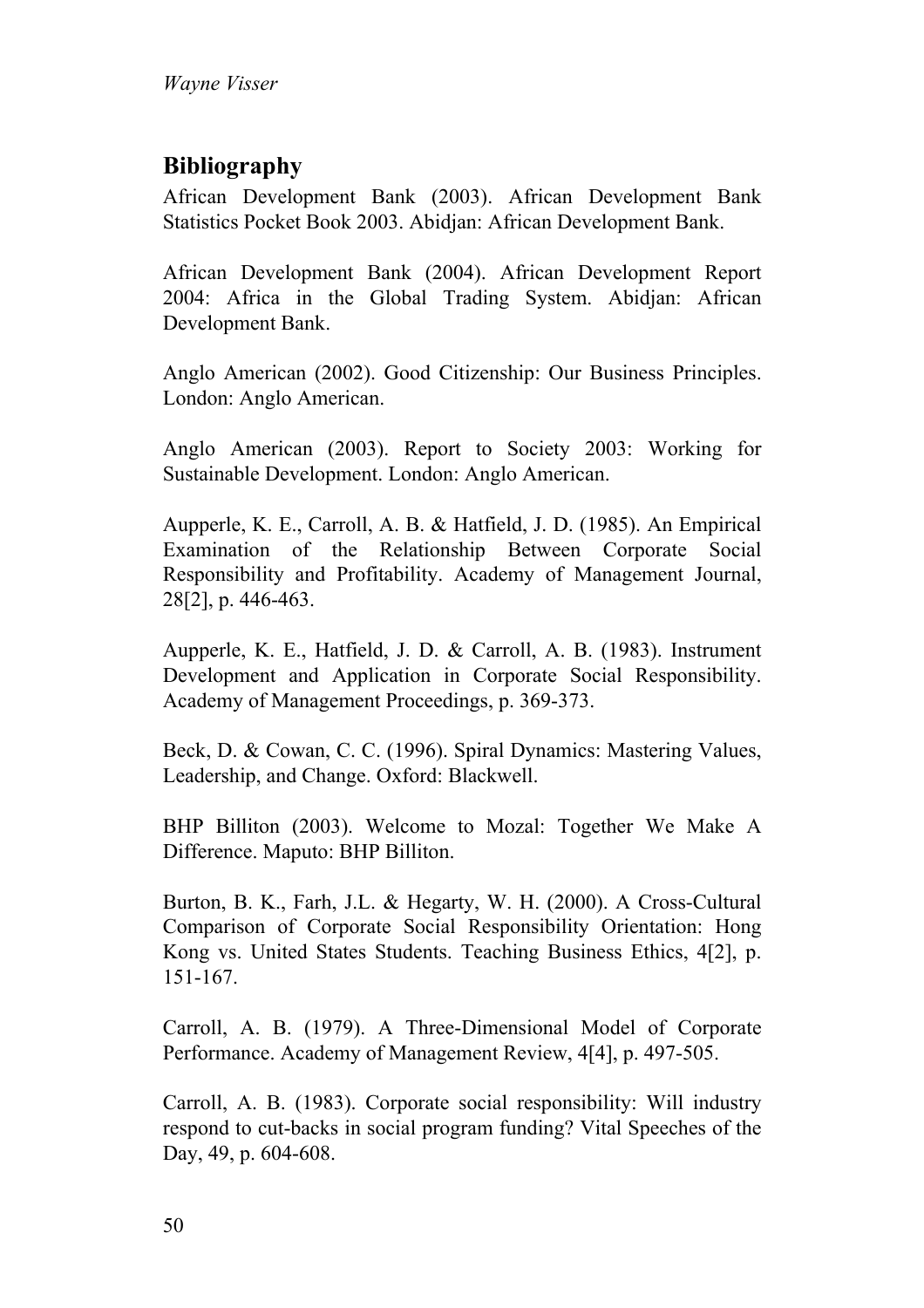# **Bibliography**

African Development Bank (2003). African Development Bank Statistics Pocket Book 2003. Abidjan: African Development Bank.

African Development Bank (2004). African Development Report 2004: Africa in the Global Trading System. Abidjan: African Development Bank.

Anglo American (2002). Good Citizenship: Our Business Principles. London: Anglo American.

Anglo American (2003). Report to Society 2003: Working for Sustainable Development. London: Anglo American.

Aupperle, K. E., Carroll, A. B. & Hatfield, J. D. (1985). An Empirical Examination of the Relationship Between Corporate Social Responsibility and Profitability. Academy of Management Journal, 28[2], p. 446-463.

Aupperle, K. E., Hatfield, J. D. & Carroll, A. B. (1983). Instrument Development and Application in Corporate Social Responsibility. Academy of Management Proceedings, p. 369-373.

Beck, D. & Cowan, C. C. (1996). Spiral Dynamics: Mastering Values, Leadership, and Change. Oxford: Blackwell.

BHP Billiton (2003). Welcome to Mozal: Together We Make A Difference. Maputo: BHP Billiton.

Burton, B. K., Farh, J.L. & Hegarty, W. H. (2000). A Cross-Cultural Comparison of Corporate Social Responsibility Orientation: Hong Kong vs. United States Students. Teaching Business Ethics, 4[2], p. 151-167.

Carroll, A. B. (1979). A Three-Dimensional Model of Corporate Performance. Academy of Management Review, 4[4], p. 497-505.

Carroll, A. B. (1983). Corporate social responsibility: Will industry respond to cut-backs in social program funding? Vital Speeches of the Day, 49, p. 604-608.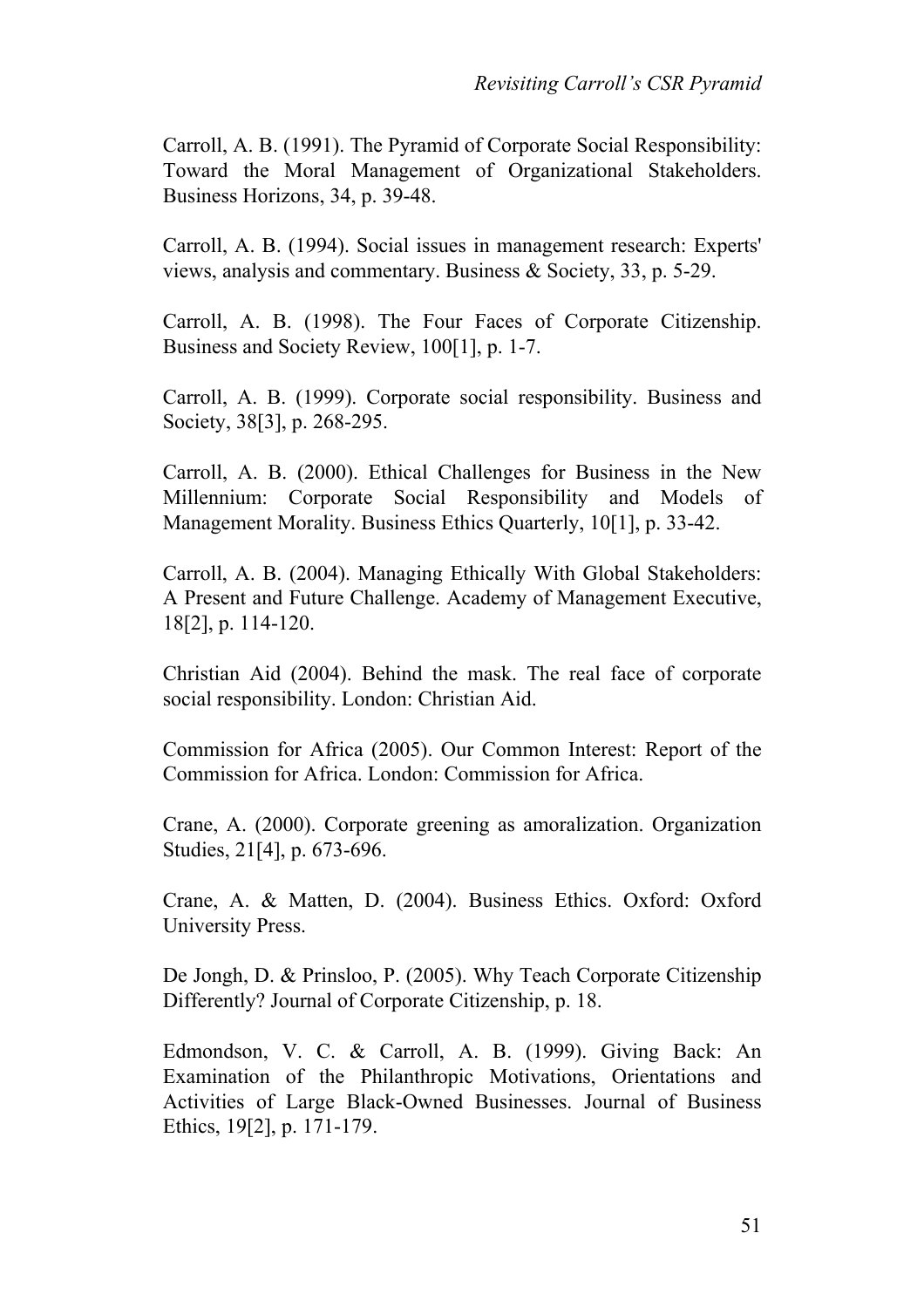Carroll, A. B. (1991). The Pyramid of Corporate Social Responsibility: Toward the Moral Management of Organizational Stakeholders. Business Horizons, 34, p. 39-48.

Carroll, A. B. (1994). Social issues in management research: Experts' views, analysis and commentary. Business & Society, 33, p. 5-29.

Carroll, A. B. (1998). The Four Faces of Corporate Citizenship. Business and Society Review, 100[1], p. 1-7.

Carroll, A. B. (1999). Corporate social responsibility. Business and Society, 38[3], p. 268-295.

Carroll, A. B. (2000). Ethical Challenges for Business in the New Millennium: Corporate Social Responsibility and Models of Management Morality. Business Ethics Quarterly, 10[1], p. 33-42.

Carroll, A. B. (2004). Managing Ethically With Global Stakeholders: A Present and Future Challenge. Academy of Management Executive, 18[2], p. 114-120.

Christian Aid (2004). Behind the mask. The real face of corporate social responsibility. London: Christian Aid.

Commission for Africa (2005). Our Common Interest: Report of the Commission for Africa. London: Commission for Africa.

Crane, A. (2000). Corporate greening as amoralization. Organization Studies, 21[4], p. 673-696.

Crane, A. & Matten, D. (2004). Business Ethics. Oxford: Oxford University Press.

De Jongh, D. & Prinsloo, P. (2005). Why Teach Corporate Citizenship Differently? Journal of Corporate Citizenship, p. 18.

Edmondson, V. C. & Carroll, A. B. (1999). Giving Back: An Examination of the Philanthropic Motivations, Orientations and Activities of Large Black-Owned Businesses. Journal of Business Ethics, 19[2], p. 171-179.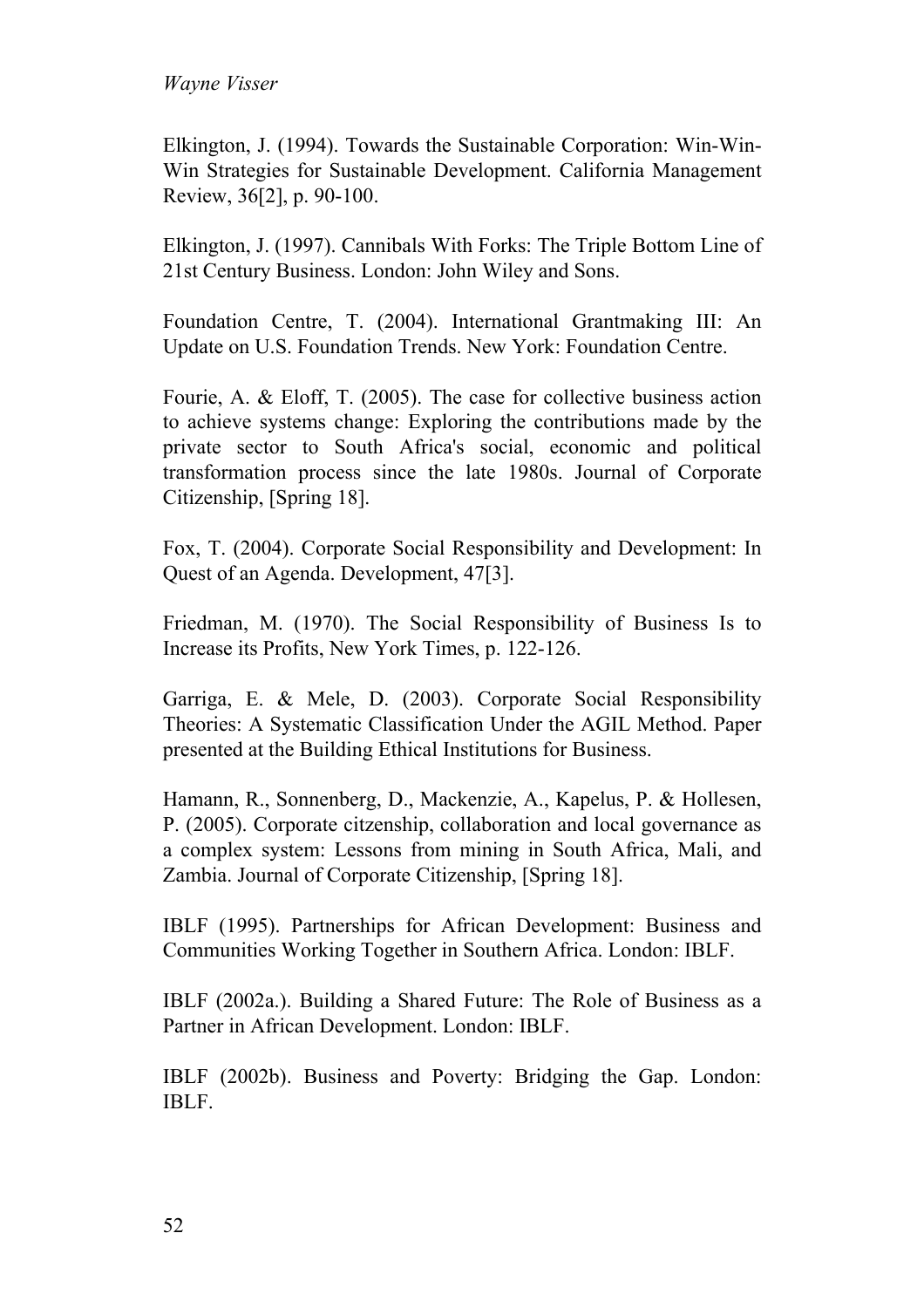Elkington, J. (1994). Towards the Sustainable Corporation: Win-Win-Win Strategies for Sustainable Development. California Management Review, 36[2], p. 90-100.

Elkington, J. (1997). Cannibals With Forks: The Triple Bottom Line of 21st Century Business. London: John Wiley and Sons.

Foundation Centre, T. (2004). International Grantmaking III: An Update on U.S. Foundation Trends. New York: Foundation Centre.

Fourie, A. & Eloff, T. (2005). The case for collective business action to achieve systems change: Exploring the contributions made by the private sector to South Africa's social, economic and political transformation process since the late 1980s. Journal of Corporate Citizenship, [Spring 18].

Fox, T. (2004). Corporate Social Responsibility and Development: In Quest of an Agenda. Development, 47[3].

Friedman, M. (1970). The Social Responsibility of Business Is to Increase its Profits, New York Times, p. 122-126.

Garriga, E. & Mele, D. (2003). Corporate Social Responsibility Theories: A Systematic Classification Under the AGIL Method. Paper presented at the Building Ethical Institutions for Business.

Hamann, R., Sonnenberg, D., Mackenzie, A., Kapelus, P. & Hollesen, P. (2005). Corporate citzenship, collaboration and local governance as a complex system: Lessons from mining in South Africa, Mali, and Zambia. Journal of Corporate Citizenship, [Spring 18].

IBLF (1995). Partnerships for African Development: Business and Communities Working Together in Southern Africa. London: IBLF.

IBLF (2002a.). Building a Shared Future: The Role of Business as a Partner in African Development. London: IBLF.

IBLF (2002b). Business and Poverty: Bridging the Gap. London: IBLF.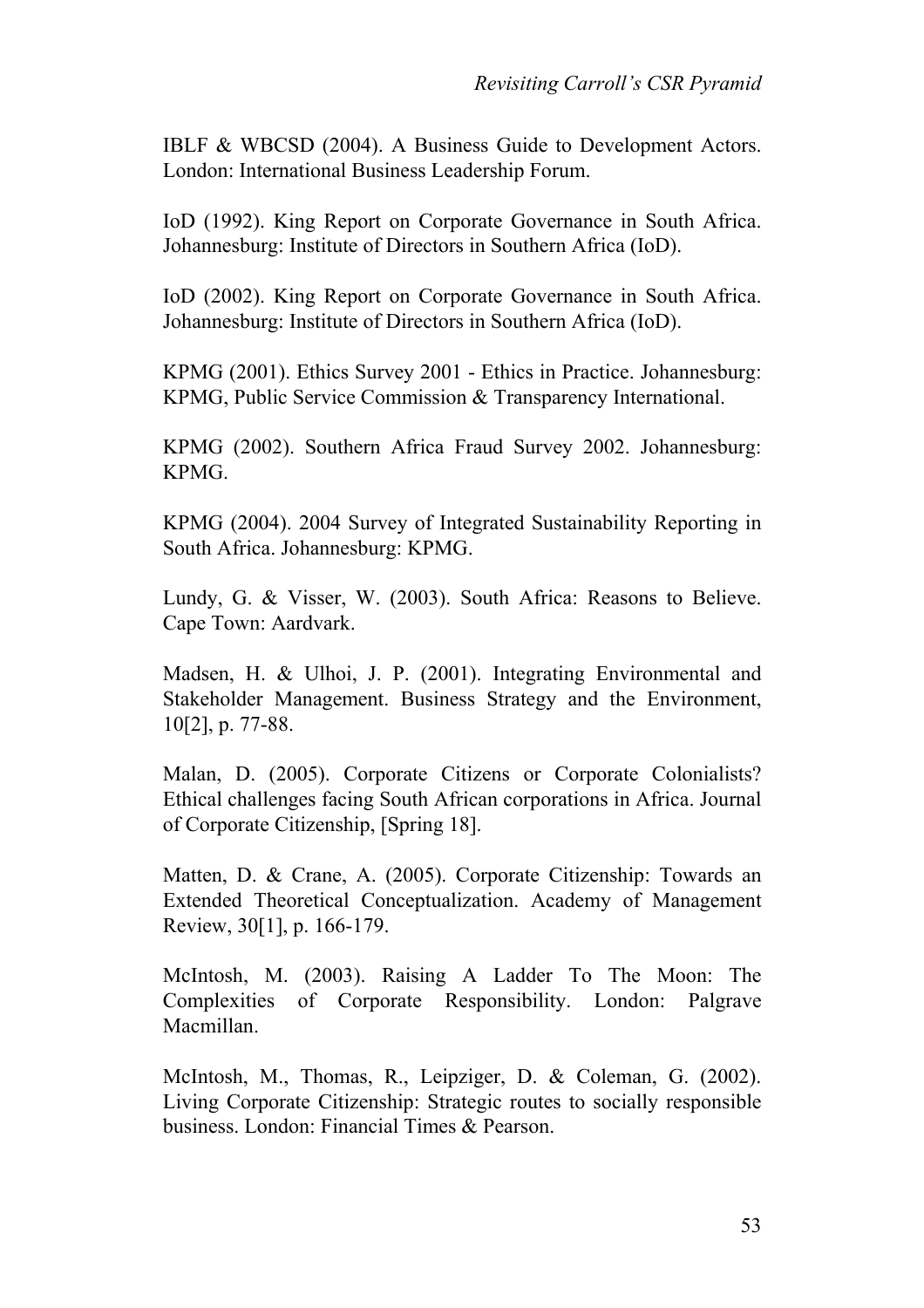IBLF & WBCSD (2004). A Business Guide to Development Actors. London: International Business Leadership Forum.

IoD (1992). King Report on Corporate Governance in South Africa. Johannesburg: Institute of Directors in Southern Africa (IoD).

IoD (2002). King Report on Corporate Governance in South Africa. Johannesburg: Institute of Directors in Southern Africa (IoD).

KPMG (2001). Ethics Survey 2001 - Ethics in Practice. Johannesburg: KPMG, Public Service Commission & Transparency International.

KPMG (2002). Southern Africa Fraud Survey 2002. Johannesburg: KPMG.

KPMG (2004). 2004 Survey of Integrated Sustainability Reporting in South Africa. Johannesburg: KPMG.

Lundy, G. & Visser, W. (2003). South Africa: Reasons to Believe. Cape Town: Aardvark.

Madsen, H. & Ulhoi, J. P. (2001). Integrating Environmental and Stakeholder Management. Business Strategy and the Environment, 10[2], p. 77-88.

Malan, D. (2005). Corporate Citizens or Corporate Colonialists? Ethical challenges facing South African corporations in Africa. Journal of Corporate Citizenship, [Spring 18].

Matten, D. & Crane, A. (2005). Corporate Citizenship: Towards an Extended Theoretical Conceptualization. Academy of Management Review, 30[1], p. 166-179.

McIntosh, M. (2003). Raising A Ladder To The Moon: The Complexities of Corporate Responsibility. London: Palgrave Macmillan.

McIntosh, M., Thomas, R., Leipziger, D. & Coleman, G. (2002). Living Corporate Citizenship: Strategic routes to socially responsible business. London: Financial Times & Pearson.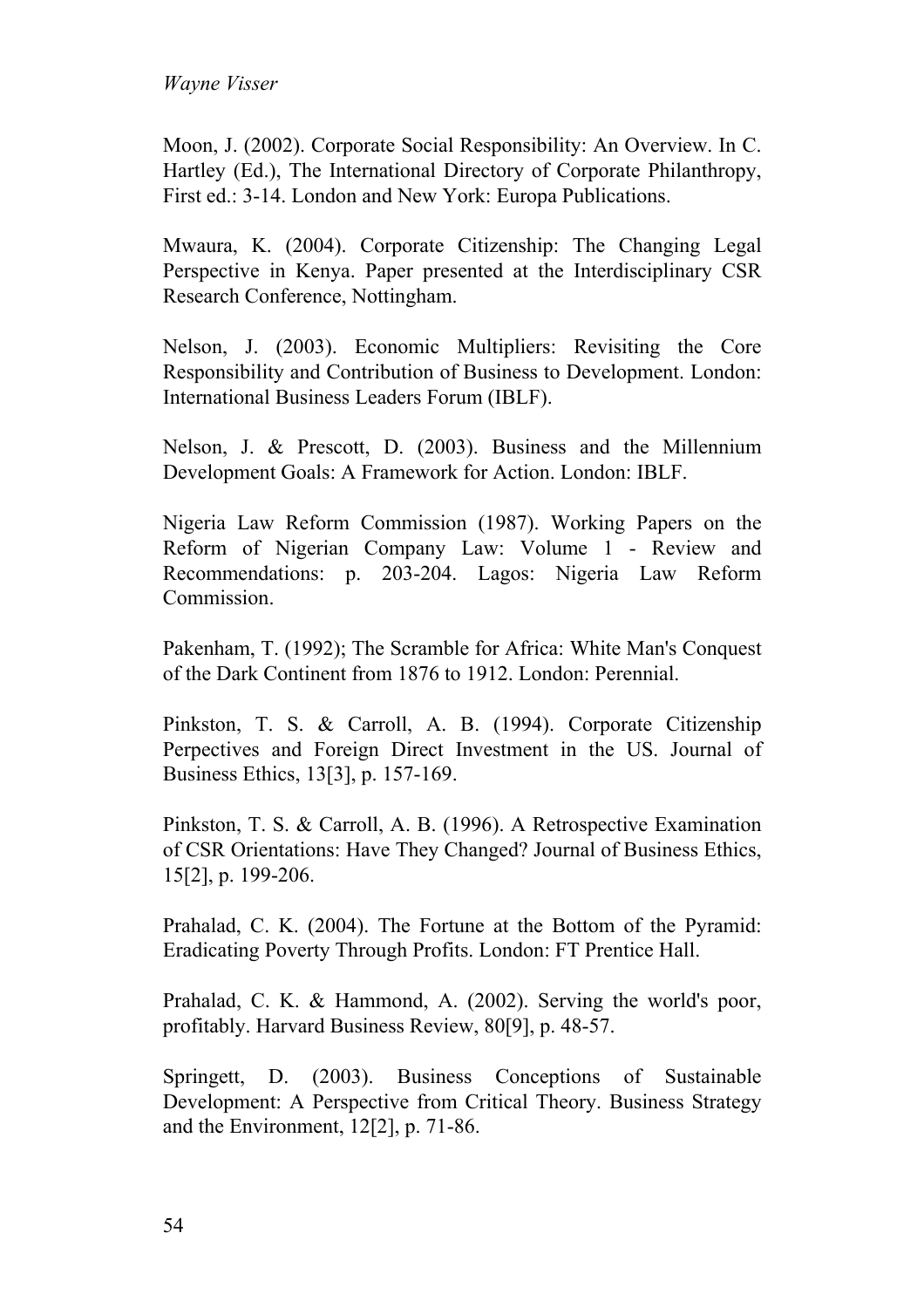Moon, J. (2002). Corporate Social Responsibility: An Overview. In C. Hartley (Ed.), The International Directory of Corporate Philanthropy, First ed.: 3-14. London and New York: Europa Publications.

Mwaura, K. (2004). Corporate Citizenship: The Changing Legal Perspective in Kenya. Paper presented at the Interdisciplinary CSR Research Conference, Nottingham.

Nelson, J. (2003). Economic Multipliers: Revisiting the Core Responsibility and Contribution of Business to Development. London: International Business Leaders Forum (IBLF).

Nelson, J. & Prescott, D. (2003). Business and the Millennium Development Goals: A Framework for Action. London: IBLF.

Nigeria Law Reform Commission (1987). Working Papers on the Reform of Nigerian Company Law: Volume 1 - Review and Recommendations: p. 203-204. Lagos: Nigeria Law Reform Commission.

Pakenham, T. (1992); The Scramble for Africa: White Man's Conquest of the Dark Continent from 1876 to 1912. London: Perennial.

Pinkston, T. S. & Carroll, A. B. (1994). Corporate Citizenship Perpectives and Foreign Direct Investment in the US. Journal of Business Ethics, 13[3], p. 157-169.

Pinkston, T. S. & Carroll, A. B. (1996). A Retrospective Examination of CSR Orientations: Have They Changed? Journal of Business Ethics, 15[2], p. 199-206.

Prahalad, C. K. (2004). The Fortune at the Bottom of the Pyramid: Eradicating Poverty Through Profits. London: FT Prentice Hall.

Prahalad, C. K. & Hammond, A. (2002). Serving the world's poor, profitably. Harvard Business Review, 80[9], p. 48-57.

Springett, D. (2003). Business Conceptions of Sustainable Development: A Perspective from Critical Theory. Business Strategy and the Environment, 12[2], p. 71-86.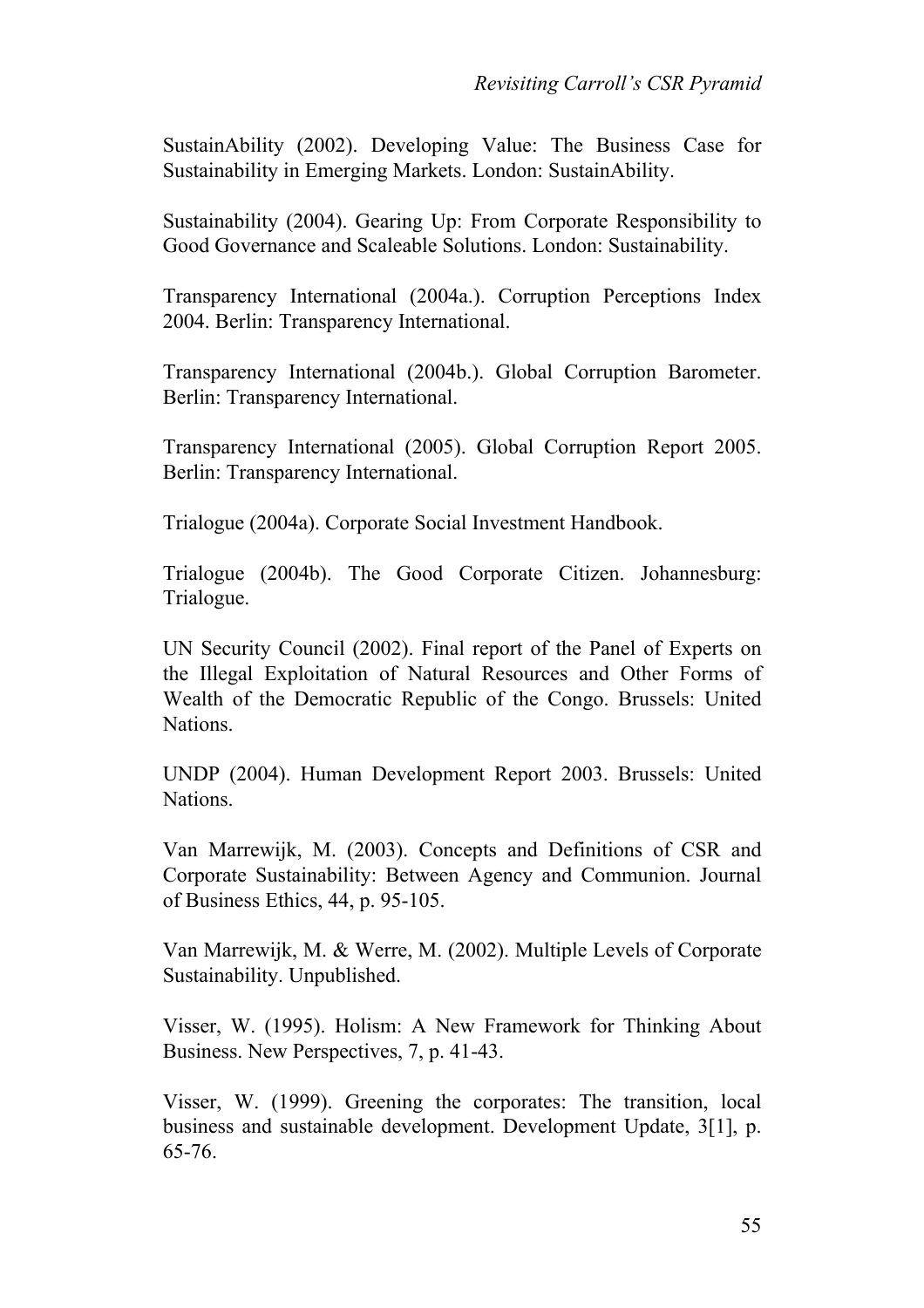SustainAbility (2002). Developing Value: The Business Case for Sustainability in Emerging Markets. London: SustainAbility.

Sustainability (2004). Gearing Up: From Corporate Responsibility to Good Governance and Scaleable Solutions. London: Sustainability.

Transparency International (2004a.). Corruption Perceptions Index 2004. Berlin: Transparency International.

Transparency International (2004b.). Global Corruption Barometer. Berlin: Transparency International.

Transparency International (2005). Global Corruption Report 2005. Berlin: Transparency International.

Trialogue (2004a). Corporate Social Investment Handbook.

Trialogue (2004b). The Good Corporate Citizen. Johannesburg: Trialogue.

UN Security Council (2002). Final report of the Panel of Experts on the Illegal Exploitation of Natural Resources and Other Forms of Wealth of the Democratic Republic of the Congo. Brussels: United Nations.

UNDP (2004). Human Development Report 2003. Brussels: United Nations.

Van Marrewijk, M. (2003). Concepts and Definitions of CSR and Corporate Sustainability: Between Agency and Communion. Journal of Business Ethics, 44, p. 95-105.

Van Marrewijk, M. & Werre, M. (2002). Multiple Levels of Corporate Sustainability. Unpublished.

Visser, W. (1995). Holism: A New Framework for Thinking About Business. New Perspectives, 7, p. 41-43.

Visser, W. (1999). Greening the corporates: The transition, local business and sustainable development. Development Update, 3[1], p. 65-76.